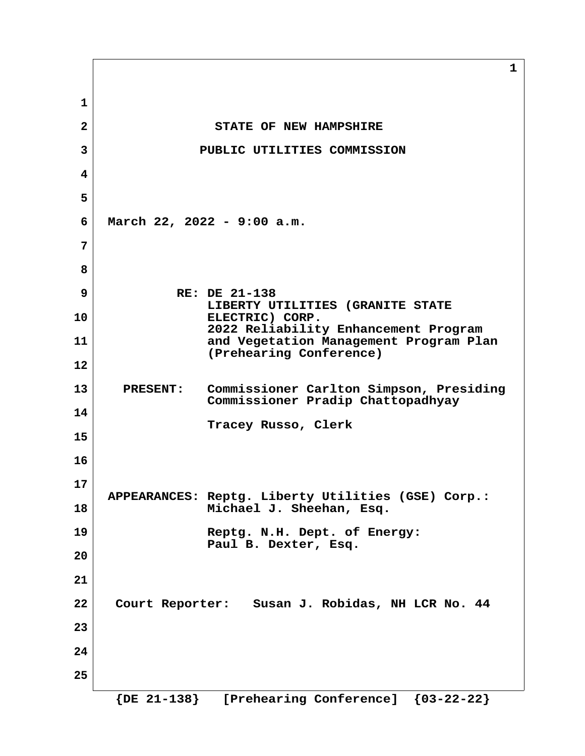**1 2** STATE OF NEW HAMPSHIRE  **3 PUBLIC UTILITIES COMMISSION 4 5 6 March 22, 2022 - 9:00 a.m. 7 8 9 RE: DE 21-138 LIBERTY UTILITIES (GRANITE STATE 10 ELECTRIC) CORP. 2022 Reliability Enhancement Program 11 and Vegetation Management Program Plan (Prehearing Conference) 12 13 PRESENT: Commissioner Carlton Simpson, Presiding Commissioner Pradip Chattopadhyay 14 Tracey Russo, Clerk 15 16 17 APPEARANCES: Reptg. Liberty Utilities (GSE) Corp.: 18 Michael J. Sheehan, Esq. 19 Reptg. N.H. Dept. of Energy: Paul B. Dexter, Esq. 20 21 22 Court Reporter: Susan J. Robidas, NH LCR No. 44 23 24 25**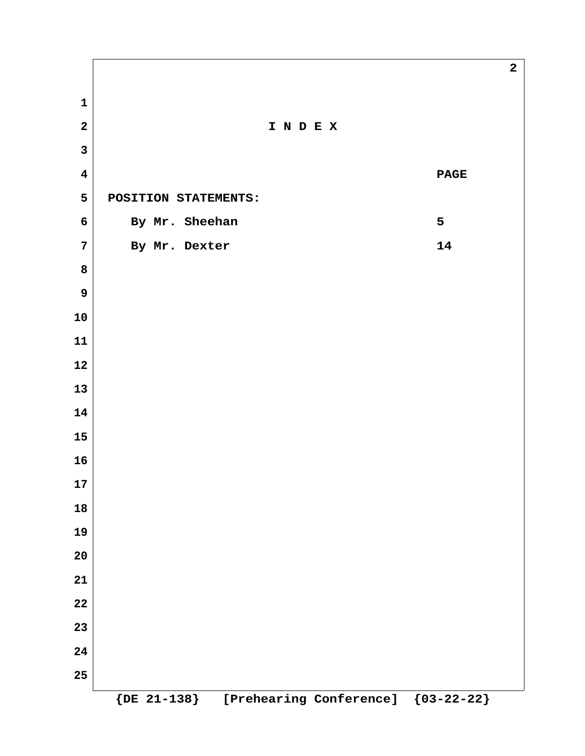**2 I N D E X 4 PAGE 5 POSITION STATEMENTS:** By Mr. Sheehan 5 *T* **By Mr. Dexter 14 {DE 21-138} [Prehearing Conference] {03-22-22}**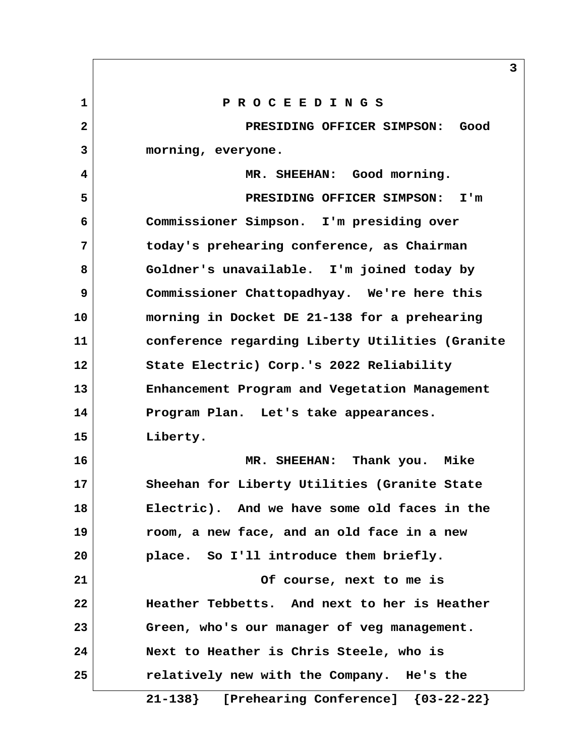**1 P R O C E E D I N G S 2 PRESIDING OFFICER SIMPSON: Good 3 morning, everyone. 4 MR. SHEEHAN: Good morning. 5 PRESIDING OFFICER SIMPSON: I'm 6 Commissioner Simpson. I'm presiding over 7 today's prehearing conference, as Chairman 8 Goldner's unavailable. I'm joined today by 9 Commissioner Chattopadhyay. We're here this 10 morning in Docket DE 21-138 for a prehearing 11 conference regarding Liberty Utilities (Granite 12 State Electric) Corp.'s 2022 Reliability 13 Enhancement Program and Vegetation Management 14 Program Plan. Let's take appearances. 15 Liberty. 16 MR. SHEEHAN: Thank you. Mike 17 Sheehan for Liberty Utilities (Granite State 18 Electric). And we have some old faces in the 19 room, a new face, and an old face in a new 20 place. So I'll introduce them briefly. 21 Of course, next to me is 22 Heather Tebbetts. And next to her is Heather 23 Green, who's our manager of veg management. 24 Next to Heather is Chris Steele, who is 25 relatively new with the Company. He's the 21-138} [Prehearing Conference] {03-22-22}**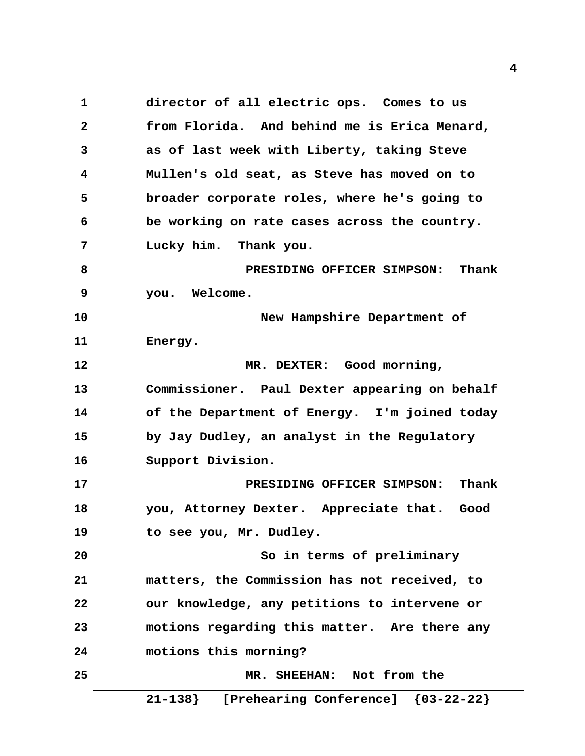**1 director of all electric ops. Comes to us 2 from Florida. And behind me is Erica Menard, 3 as of last week with Liberty, taking Steve 4 Mullen's old seat, as Steve has moved on to 5 broader corporate roles, where he's going to 6 be working on rate cases across the country. 7 Lucky him. Thank you. 8 PRESIDING OFFICER SIMPSON: Thank 9 you. Welcome. 10 New Hampshire Department of 11 Energy. 12 MR. DEXTER: Good morning, 13 Commissioner. Paul Dexter appearing on behalf 14 of the Department of Energy. I'm joined today 15 by Jay Dudley, an analyst in the Regulatory 16 Support Division. 17 PRESIDING OFFICER SIMPSON: Thank 18 you, Attorney Dexter. Appreciate that. Good 19 to see you, Mr. Dudley. 20 So in terms of preliminary 21 matters, the Commission has not received, to 22 our knowledge, any petitions to intervene or 23 motions regarding this matter. Are there any 24 motions this morning? 25 MR. SHEEHAN: Not from the**

 **21-138} [Prehearing Conference] {03-22-22}**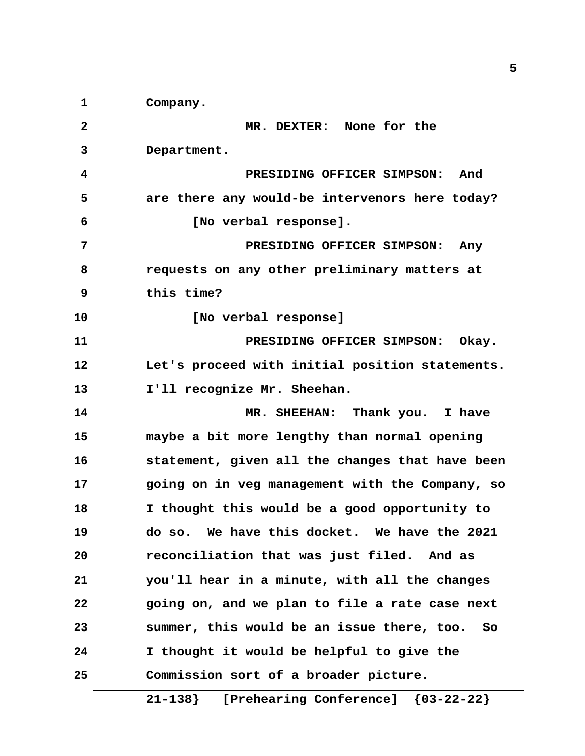**1 Company. 2 MR. DEXTER: None for the 3 Department. 4 PRESIDING OFFICER SIMPSON: And 5 are there any would-be intervenors here today? 6 [No verbal response]. 7 PRESIDING OFFICER SIMPSON: Any 8 requests on any other preliminary matters at 9 this time? 10 [No verbal response] 11 PRESIDING OFFICER SIMPSON: Okay. 12 Let's proceed with initial position statements. 13 I'll recognize Mr. Sheehan. 14 MR. SHEEHAN: Thank you. I have 15 maybe a bit more lengthy than normal opening 16 statement, given all the changes that have been 17 going on in veg management with the Company, so 18 I thought this would be a good opportunity to 19 do so. We have this docket. We have the 2021 20 reconciliation that was just filed. And as 21 you'll hear in a minute, with all the changes 22 going on, and we plan to file a rate case next 23 summer, this would be an issue there, too. So 24 I thought it would be helpful to give the 25 Commission sort of a broader picture.**

**5**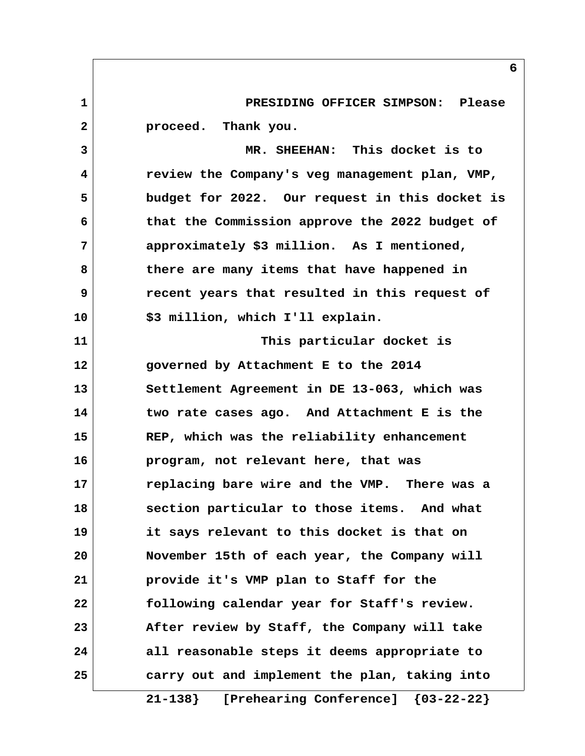**1 PRESIDING OFFICER SIMPSON: Please 2 proceed. Thank you. 3 MR. SHEEHAN: This docket is to 4 review the Company's veg management plan, VMP, 5 budget for 2022. Our request in this docket is 6 that the Commission approve the 2022 budget of 7 approximately \$3 million. As I mentioned, 8 there are many items that have happened in 9 recent years that resulted in this request of 10 \$3 million, which I'll explain. 11 This particular docket is 12 governed by Attachment E to the 2014 13 Settlement Agreement in DE 13-063, which was 14 two rate cases ago. And Attachment E is the 15 REP, which was the reliability enhancement 16 program, not relevant here, that was 17 replacing bare wire and the VMP. There was a 18 section particular to those items. And what 19 it says relevant to this docket is that on 20 November 15th of each year, the Company will 21 provide it's VMP plan to Staff for the 22 following calendar year for Staff's review. 23 After review by Staff, the Company will take 24 all reasonable steps it deems appropriate to 25 carry out and implement the plan, taking into**

 **21-138} [Prehearing Conference] {03-22-22}**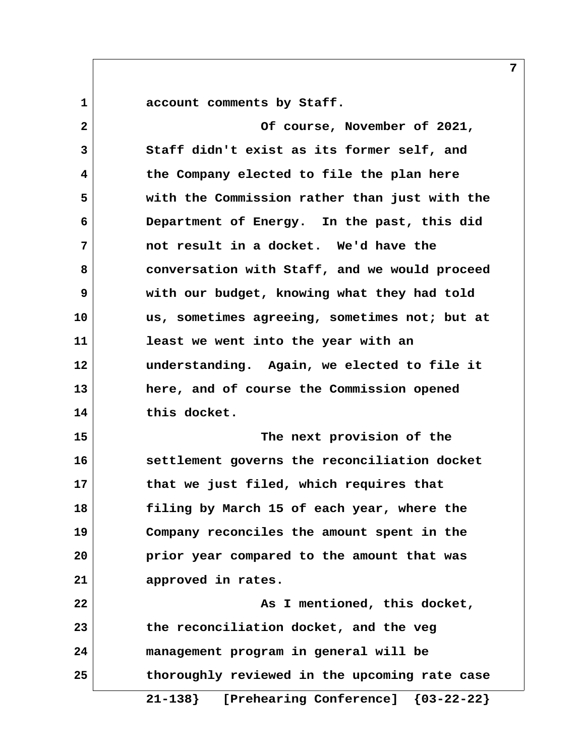**1 account comments by Staff.**

 **2 Of course, November of 2021, 3 Staff didn't exist as its former self, and 4 the Company elected to file the plan here 5 with the Commission rather than just with the 6 Department of Energy. In the past, this did 7 not result in a docket. We'd have the 8 conversation with Staff, and we would proceed 9 with our budget, knowing what they had told 10 us, sometimes agreeing, sometimes not; but at 11 least we went into the year with an 12 understanding. Again, we elected to file it 13 here, and of course the Commission opened 14 this docket. 15 The next provision of the 16 settlement governs the reconciliation docket 17 that we just filed, which requires that 18 filing by March 15 of each year, where the 19 Company reconciles the amount spent in the 20 prior year compared to the amount that was 21 approved in rates. 22 As I mentioned, this docket, 23 the reconciliation docket, and the veg 24 management program in general will be**

**25 thoroughly reviewed in the upcoming rate case**

 **21-138} [Prehearing Conference] {03-22-22}**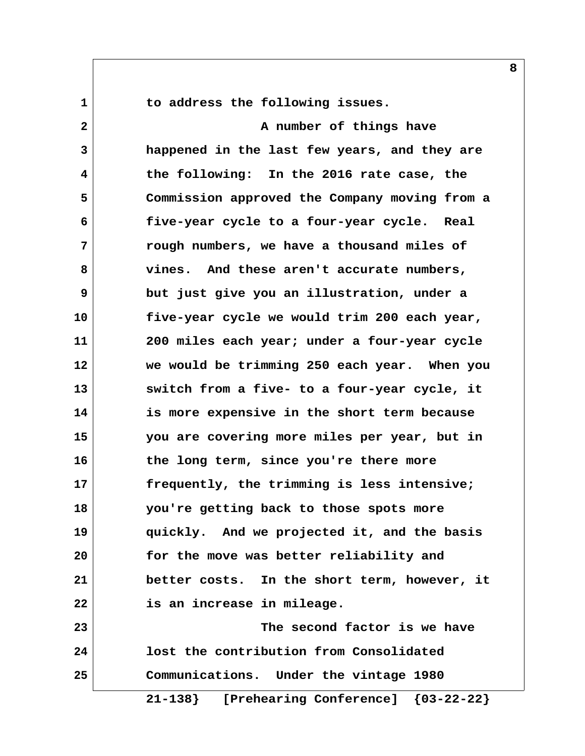1 1 to address the following issues.

 **2 A number of things have 3 happened in the last few years, and they are 4 the following: In the 2016 rate case, the 5 Commission approved the Company moving from a 6 five-year cycle to a four-year cycle. Real 7 rough numbers, we have a thousand miles of 8 vines. And these aren't accurate numbers, 9 but just give you an illustration, under a 10 five-year cycle we would trim 200 each year, 11 200 miles each year; under a four-year cycle 12 we would be trimming 250 each year. When you 13 switch from a five- to a four-year cycle, it 14 is more expensive in the short term because 15 you are covering more miles per year, but in 16 the long term, since you're there more 17 frequently, the trimming is less intensive; 18 you're getting back to those spots more 19 quickly. And we projected it, and the basis 20 for the move was better reliability and 21 better costs. In the short term, however, it 22 is an increase in mileage. 23 The second factor is we have 24 lost the contribution from Consolidated 25 Communications. Under the vintage 1980**

 **21-138} [Prehearing Conference] {03-22-22}**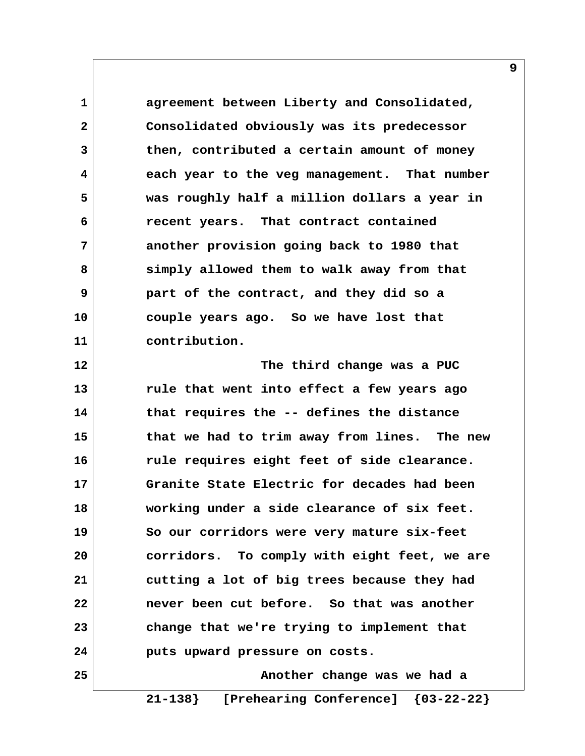**1 agreement between Liberty and Consolidated, 2 Consolidated obviously was its predecessor 3 then, contributed a certain amount of money 4 each year to the veg management. That number 5 was roughly half a million dollars a year in 6 recent years. That contract contained 7 another provision going back to 1980 that 8 simply allowed them to walk away from that 9 part of the contract, and they did so a 10 couple years ago. So we have lost that 11 contribution.**

**12 The third change was a PUC 13 rule that went into effect a few years ago 14 that requires the -- defines the distance 15 that we had to trim away from lines. The new 16 rule requires eight feet of side clearance. 17 Granite State Electric for decades had been 18 working under a side clearance of six feet. 19 So our corridors were very mature six-feet 20 corridors. To comply with eight feet, we are 21 cutting a lot of big trees because they had 22 never been cut before. So that was another 23 change that we're trying to implement that 24 puts upward pressure on costs.**

**25 Another change was we had a 21-138} [Prehearing Conference] {03-22-22}**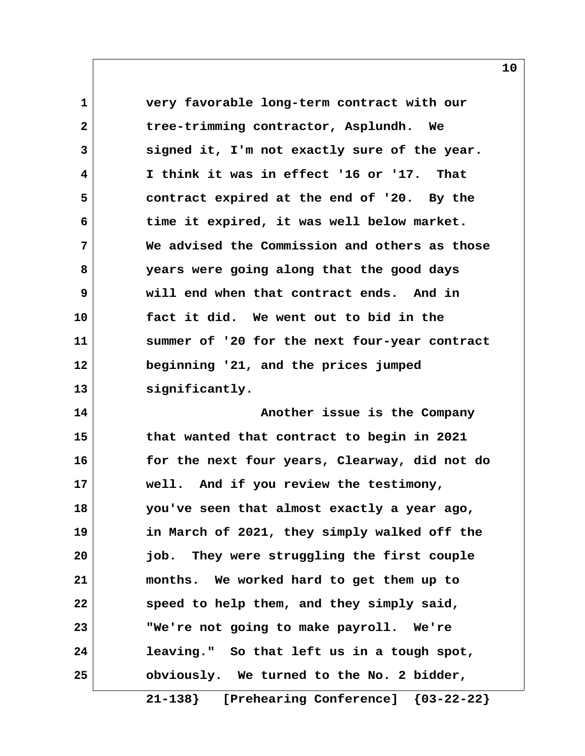**1 very favorable long-term contract with our 2 tree-trimming contractor, Asplundh. We 3 signed it, I'm not exactly sure of the year. 4 I think it was in effect '16 or '17. That 5 contract expired at the end of '20. By the 6 time it expired, it was well below market. 7 We advised the Commission and others as those 8 years were going along that the good days 9 will end when that contract ends. And in 10 fact it did. We went out to bid in the 11 summer of '20 for the next four-year contract 12 beginning '21, and the prices jumped 13 significantly. 14 Another issue is the Company 15 that wanted that contract to begin in 2021 16 for the next four years, Clearway, did not do 17 well. And if you review the testimony,**

**18 you've seen that almost exactly a year ago, 19 in March of 2021, they simply walked off the 20 job. They were struggling the first couple 21 months. We worked hard to get them up to 22 speed to help them, and they simply said, 23 "We're not going to make payroll. We're 24 leaving." So that left us in a tough spot, 25 obviously. We turned to the No. 2 bidder,**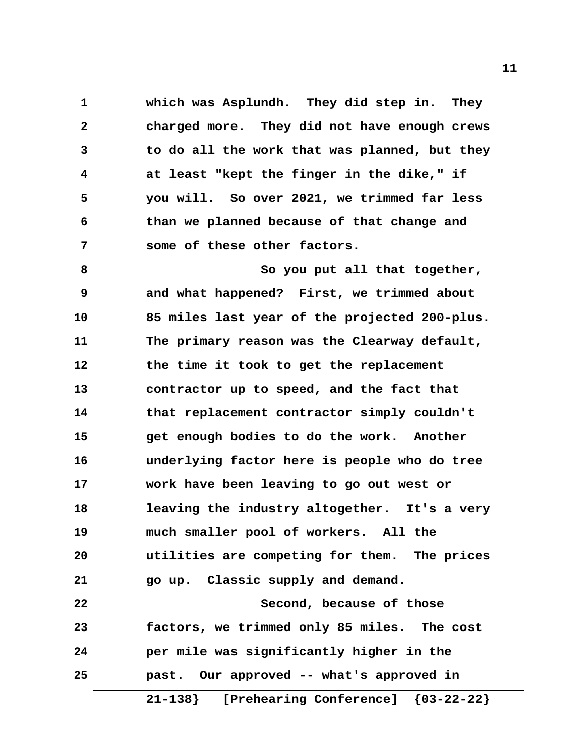**1 which was Asplundh. They did step in. They 2 charged more. They did not have enough crews 3 to do all the work that was planned, but they 4 at least "kept the finger in the dike," if 5 you will. So over 2021, we trimmed far less 6 than we planned because of that change and 7 some of these other factors. 8** So you put all that together,  **9 and what happened? First, we trimmed about 10 85 miles last year of the projected 200-plus. 11 The primary reason was the Clearway default, 12 the time it took to get the replacement 13 contractor up to speed, and the fact that 14 that replacement contractor simply couldn't 15 get enough bodies to do the work. Another 16 underlying factor here is people who do tree 17 work have been leaving to go out west or 18 leaving the industry altogether. It's a very 19 much smaller pool of workers. All the 20 utilities are competing for them. The prices 21 go up. Classic supply and demand. 22** Second, because of those **23 factors, we trimmed only 85 miles. The cost 24 per mile was significantly higher in the 25 past. Our approved -- what's approved in**

 **21-138} [Prehearing Conference] {03-22-22}**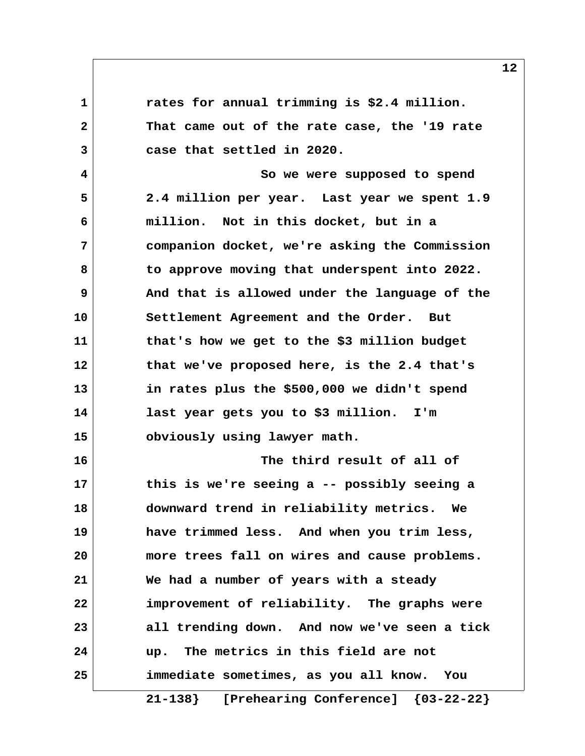**1 rates for annual trimming is \$2.4 million. 2 That came out of the rate case, the '19 rate 3 case that settled in 2020. 4 So we were supposed to spend 5 2.4 million per year. Last year we spent 1.9 6 million. Not in this docket, but in a 7 companion docket, we're asking the Commission 8 to approve moving that underspent into 2022. 9 And that is allowed under the language of the 10 Settlement Agreement and the Order. But 11 that's how we get to the \$3 million budget 12 that we've proposed here, is the 2.4 that's 13 in rates plus the \$500,000 we didn't spend 14 last year gets you to \$3 million. I'm 15 obviously using lawyer math. 16 The third result of all of 17 this is we're seeing a -- possibly seeing a 18 downward trend in reliability metrics. We 19 have trimmed less. And when you trim less, 20 more trees fall on wires and cause problems. 21 We had a number of years with a steady 22 improvement of reliability. The graphs were 23 all trending down. And now we've seen a tick 24 up. The metrics in this field are not 25 immediate sometimes, as you all know. You**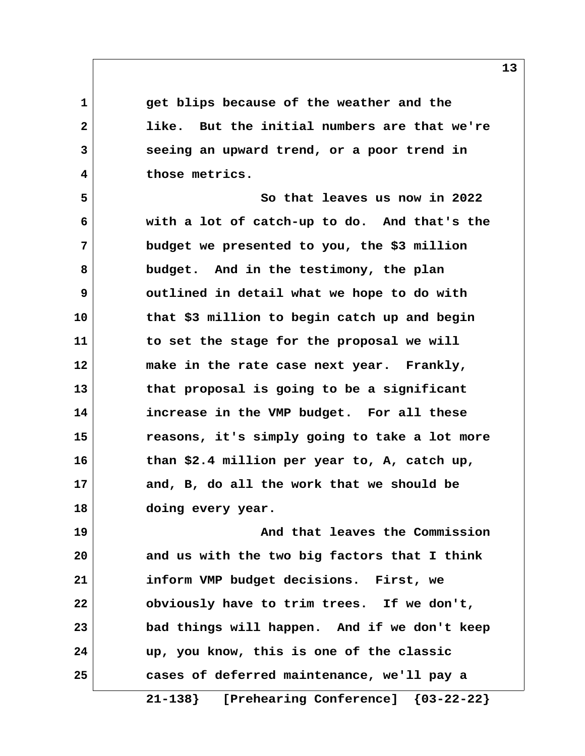**1 get blips because of the weather and the 2 like. But the initial numbers are that we're 3 seeing an upward trend, or a poor trend in 4 those metrics.**

 **5 So that leaves us now in 2022 6 with a lot of catch-up to do. And that's the 7 budget we presented to you, the \$3 million 8 budget. And in the testimony, the plan 9 outlined in detail what we hope to do with 10 that \$3 million to begin catch up and begin 11 to set the stage for the proposal we will 12 make in the rate case next year. Frankly, 13 that proposal is going to be a significant 14 increase in the VMP budget. For all these 15 reasons, it's simply going to take a lot more 16 than \$2.4 million per year to, A, catch up, 17 and, B, do all the work that we should be 18 doing every year.**

**19 And that leaves the Commission 20 and us with the two big factors that I think 21 inform VMP budget decisions. First, we 22 obviously have to trim trees. If we don't, 23 bad things will happen. And if we don't keep 24 up, you know, this is one of the classic 25 cases of deferred maintenance, we'll pay a**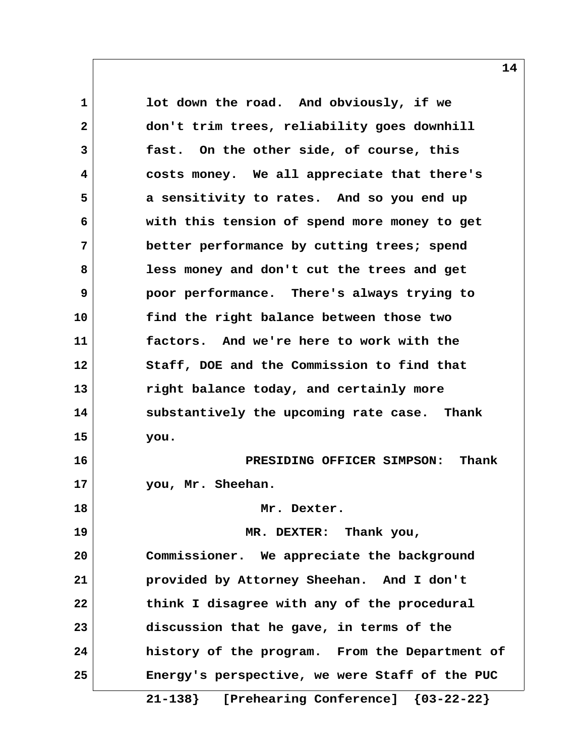**1 lot down the road. And obviously, if we 2 don't trim trees, reliability goes downhill 3 fast. On the other side, of course, this 4 costs money. We all appreciate that there's 5 a sensitivity to rates. And so you end up 6 with this tension of spend more money to get 7 better performance by cutting trees; spend 8 less money and don't cut the trees and get 9 poor performance. There's always trying to 10 find the right balance between those two 11 factors. And we're here to work with the 12 Staff, DOE and the Commission to find that 13 right balance today, and certainly more 14 substantively the upcoming rate case. Thank 15 you. 16 PRESIDING OFFICER SIMPSON: Thank 17 you, Mr. Sheehan. 18 Mr. Dexter. 19 MR. DEXTER: Thank you, 20 Commissioner. We appreciate the background 21 provided by Attorney Sheehan. And I don't 22 think I disagree with any of the procedural 23 discussion that he gave, in terms of the 24 history of the program. From the Department of 25 Energy's perspective, we were Staff of the PUC**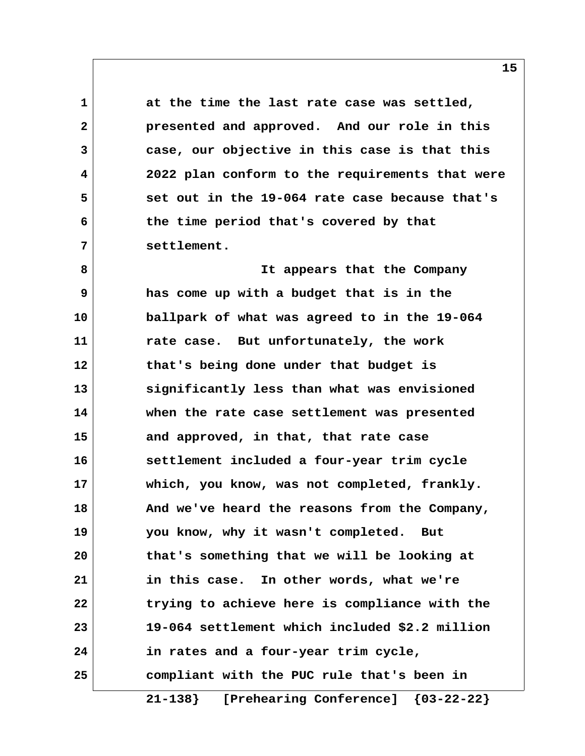**1 at the time the last rate case was settled, 2 presented and approved. And our role in this 3 case, our objective in this case is that this 4 2022 plan conform to the requirements that were 5 set out in the 19-064 rate case because that's 6 the time period that's covered by that 7 settlement.**

 **8 It appears that the Company 9 has come up with a budget that is in the 10 ballpark of what was agreed to in the 19-064 11 rate case. But unfortunately, the work 12 that's being done under that budget is 13 significantly less than what was envisioned 14 when the rate case settlement was presented 15 and approved, in that, that rate case 16 settlement included a four-year trim cycle 17 which, you know, was not completed, frankly. 18 And we've heard the reasons from the Company, 19 you know, why it wasn't completed. But 20 that's something that we will be looking at 21 in this case. In other words, what we're 22 trying to achieve here is compliance with the 23 19-064 settlement which included \$2.2 million 24 in rates and a four-year trim cycle, 25 compliant with the PUC rule that's been in**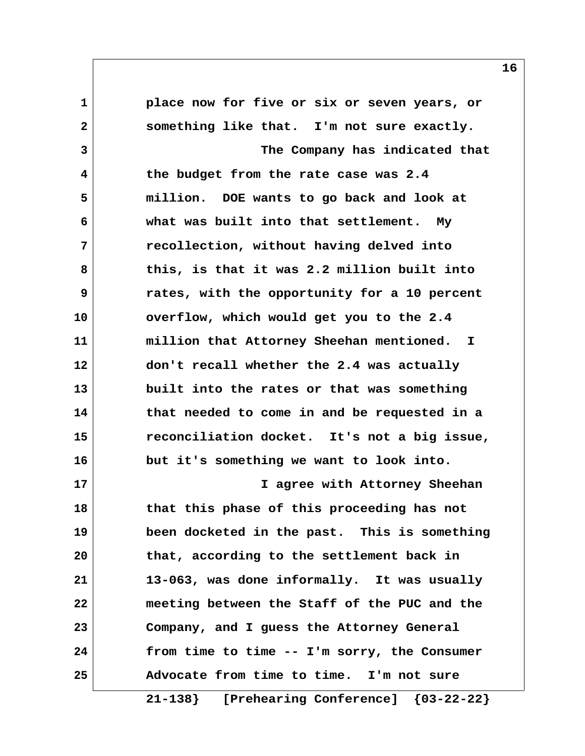**1 place now for five or six or seven years, or 2 something like that. I'm not sure exactly. 3 The Company has indicated that 4 the budget from the rate case was 2.4 5 million. DOE wants to go back and look at 6 what was built into that settlement. My 7 recollection, without having delved into 8 this, is that it was 2.2 million built into 9 rates, with the opportunity for a 10 percent 10 overflow, which would get you to the 2.4 11 million that Attorney Sheehan mentioned. I 12 don't recall whether the 2.4 was actually 13 built into the rates or that was something 14 that needed to come in and be requested in a 15 reconciliation docket. It's not a big issue, 16 but it's something we want to look into. 17 I agree with Attorney Sheehan 18 that this phase of this proceeding has not 19 been docketed in the past. This is something 20 that, according to the settlement back in 21 13-063, was done informally. It was usually 22 meeting between the Staff of the PUC and the 23 Company, and I guess the Attorney General 24 from time to time -- I'm sorry, the Consumer 25 Advocate from time to time. I'm not sure**

 **21-138} [Prehearing Conference] {03-22-22}**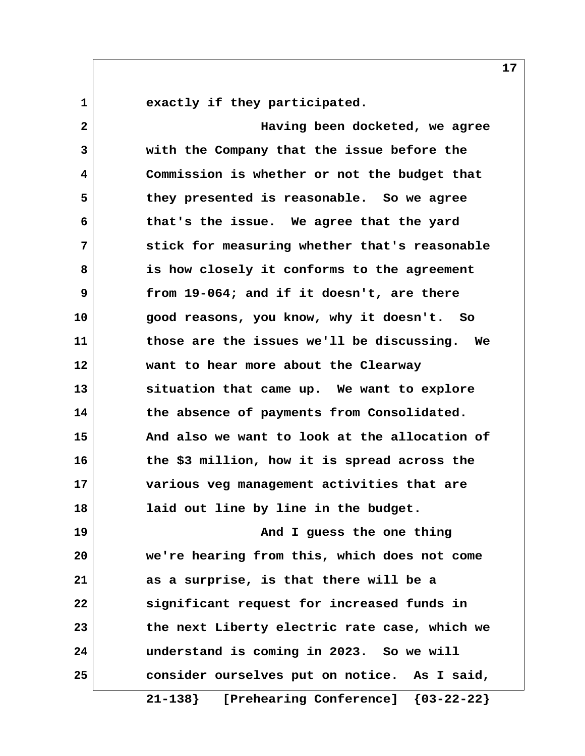**1 exactly if they participated.**

 **2 Having been docketed, we agree 3 with the Company that the issue before the 4 Commission is whether or not the budget that 5 they presented is reasonable. So we agree 6 that's the issue. We agree that the yard 7 stick for measuring whether that's reasonable 8 is how closely it conforms to the agreement 9 from 19-064; and if it doesn't, are there 10 good reasons, you know, why it doesn't. So 11 those are the issues we'll be discussing. We 12 want to hear more about the Clearway 13 situation that came up. We want to explore 14 the absence of payments from Consolidated. 15 And also we want to look at the allocation of 16 the \$3 million, how it is spread across the 17 various veg management activities that are 18 laid out line by line in the budget. 19 And I guess the one thing 20 we're hearing from this, which does not come 21 as a surprise, is that there will be a 22 significant request for increased funds in 23 the next Liberty electric rate case, which we 24 understand is coming in 2023. So we will 25 consider ourselves put on notice. As I said,**

 **21-138} [Prehearing Conference] {03-22-22}**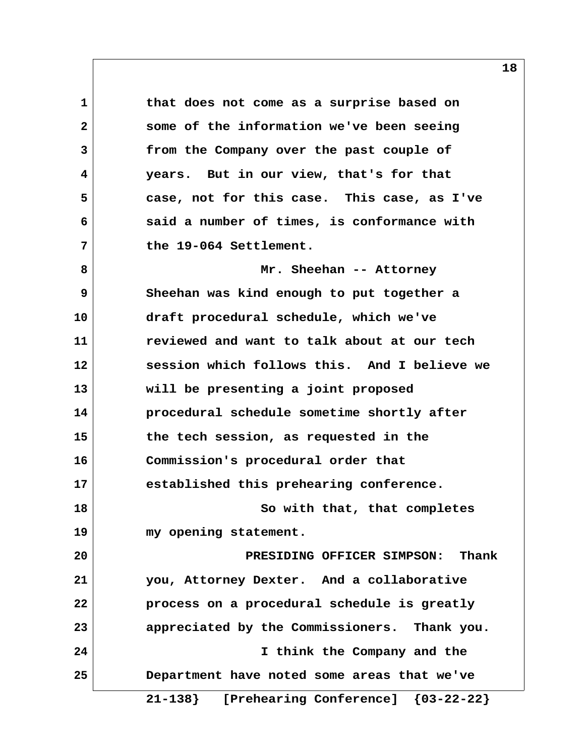**1 that does not come as a surprise based on 2 some of the information we've been seeing 3 from the Company over the past couple of 4 years. But in our view, that's for that 5 case, not for this case. This case, as I've 6 said a number of times, is conformance with 7 the 19-064 Settlement. 8 Mr. Sheehan -- Attorney 9 Sheehan was kind enough to put together a 10 draft procedural schedule, which we've 11 reviewed and want to talk about at our tech 12 session which follows this. And I believe we 13 will be presenting a joint proposed 14 procedural schedule sometime shortly after 15 the tech session, as requested in the 16 Commission's procedural order that 17 established this prehearing conference. 18 So with that, that completes 19 my opening statement. 20 PRESIDING OFFICER SIMPSON: Thank 21 you, Attorney Dexter. And a collaborative 22 process on a procedural schedule is greatly 23 appreciated by the Commissioners. Thank you. 24 I think the Company and the 25 Department have noted some areas that we've 21-138} [Prehearing Conference] {03-22-22}**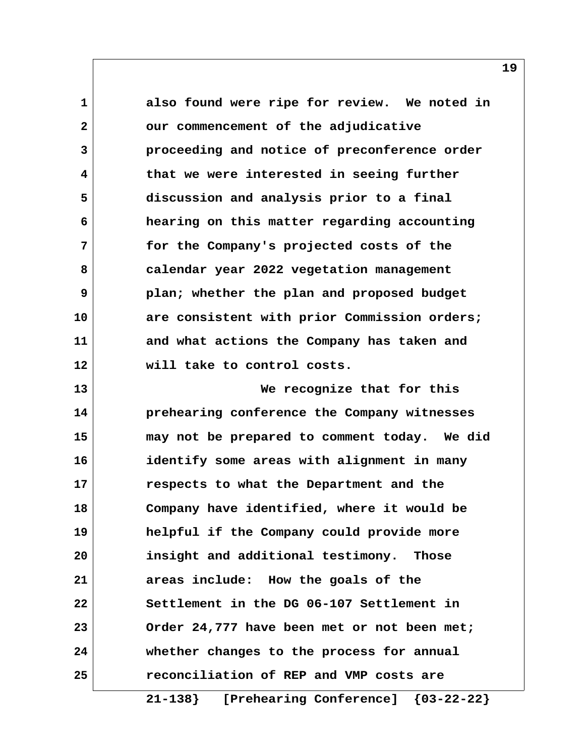1 also found were ripe for review. We noted in  **2 our commencement of the adjudicative 3 proceeding and notice of preconference order 4 that we were interested in seeing further 5 discussion and analysis prior to a final 6 hearing on this matter regarding accounting 7 for the Company's projected costs of the 8 calendar year 2022 vegetation management 9 plan; whether the plan and proposed budget 10 are consistent with prior Commission orders; 11 and what actions the Company has taken and 12 will take to control costs. 13 We recognize that for this 14 prehearing conference the Company witnesses 15 may not be prepared to comment today. We did 16 identify some areas with alignment in many 17 respects to what the Department and the 18 Company have identified, where it would be 19 helpful if the Company could provide more 20 insight and additional testimony. Those 21 areas include: How the goals of the 22 Settlement in the DG 06-107 Settlement in 23 Order 24,777 have been met or not been met; 24 whether changes to the process for annual 25 reconciliation of REP and VMP costs are**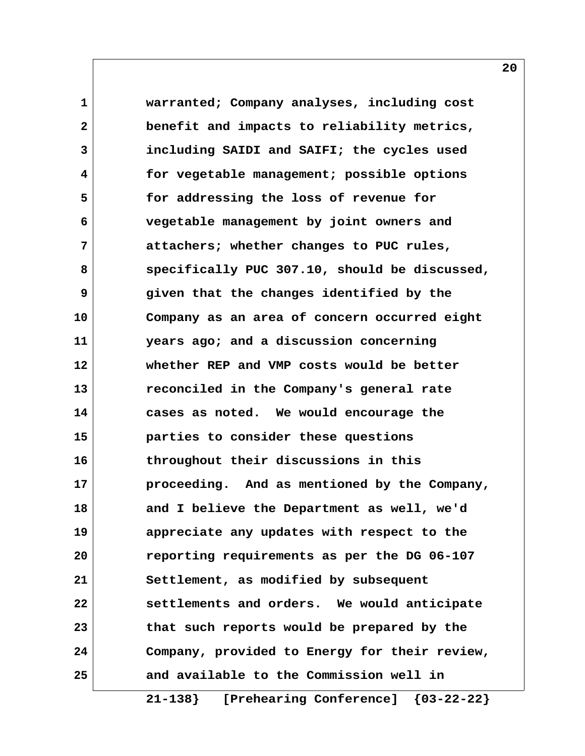**1 warranted; Company analyses, including cost 2 benefit and impacts to reliability metrics, 3 including SAIDI and SAIFI; the cycles used 4 for vegetable management; possible options 5 for addressing the loss of revenue for 6 vegetable management by joint owners and 7 attachers; whether changes to PUC rules, 8 specifically PUC 307.10, should be discussed, 9 given that the changes identified by the 10 Company as an area of concern occurred eight 11 years ago; and a discussion concerning 12 whether REP and VMP costs would be better 13 reconciled in the Company's general rate 14 cases as noted. We would encourage the 15 parties to consider these questions 16 throughout their discussions in this 17 proceeding. And as mentioned by the Company, 18 and I believe the Department as well, we'd 19 appreciate any updates with respect to the 20 reporting requirements as per the DG 06-107 21 Settlement, as modified by subsequent 22 settlements and orders. We would anticipate 23 that such reports would be prepared by the 24 Company, provided to Energy for their review, 25 and available to the Commission well in**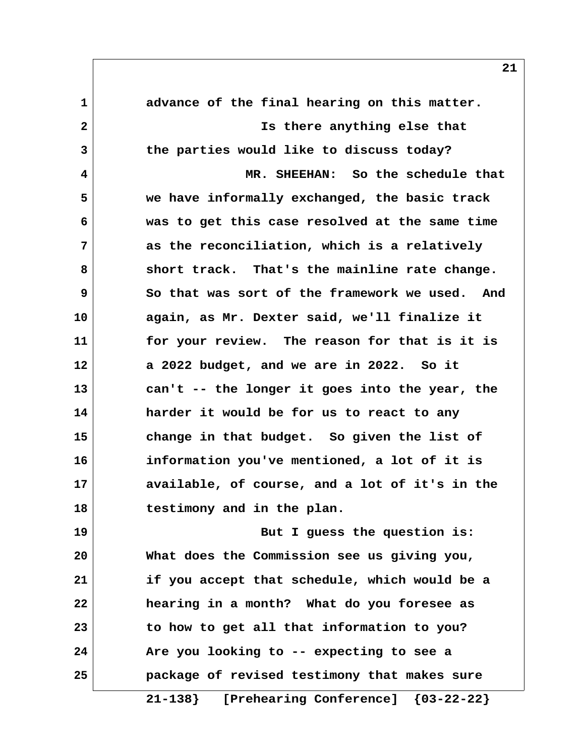**1 advance of the final hearing on this matter. 2 Is there anything else that 3 the parties would like to discuss today? 4 MR. SHEEHAN: So the schedule that 5 we have informally exchanged, the basic track 6 was to get this case resolved at the same time 7 as the reconciliation, which is a relatively 8 short track. That's the mainline rate change. 9 So that was sort of the framework we used. And 10 again, as Mr. Dexter said, we'll finalize it 11 for your review. The reason for that is it is 12 a 2022 budget, and we are in 2022. So it 13 can't -- the longer it goes into the year, the 14 harder it would be for us to react to any 15 change in that budget. So given the list of 16 information you've mentioned, a lot of it is 17 available, of course, and a lot of it's in the 18 testimony and in the plan. 19 But I guess the question is: 20 What does the Commission see us giving you, 21 if you accept that schedule, which would be a 22 hearing in a month? What do you foresee as 23 to how to get all that information to you? 24 Are you looking to -- expecting to see a 25 package of revised testimony that makes sure**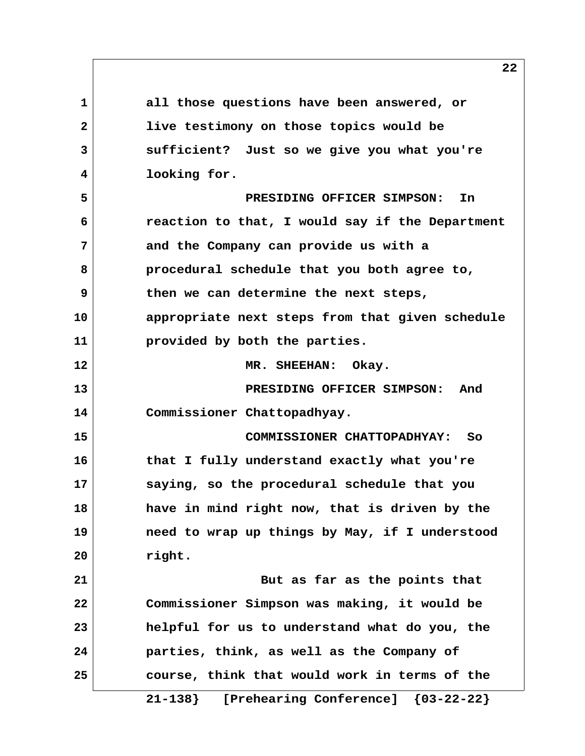**1 all those questions have been answered, or 2 live testimony on those topics would be 3 sufficient? Just so we give you what you're 4 looking for. 5 PRESIDING OFFICER SIMPSON: In 6 reaction to that, I would say if the Department 7 and the Company can provide us with a 8 procedural schedule that you both agree to, 9 then we can determine the next steps, 10 appropriate next steps from that given schedule 11 provided by both the parties. 12 MR. SHEEHAN: Okay. 13 PRESIDING OFFICER SIMPSON: And 14 Commissioner Chattopadhyay. 15 COMMISSIONER CHATTOPADHYAY: So 16 that I fully understand exactly what you're 17 saying, so the procedural schedule that you 18 have in mind right now, that is driven by the 19 need to wrap up things by May, if I understood 20 right. 21 But as far as the points that 22 Commissioner Simpson was making, it would be 23 helpful for us to understand what do you, the 24 parties, think, as well as the Company of 25 course, think that would work in terms of the**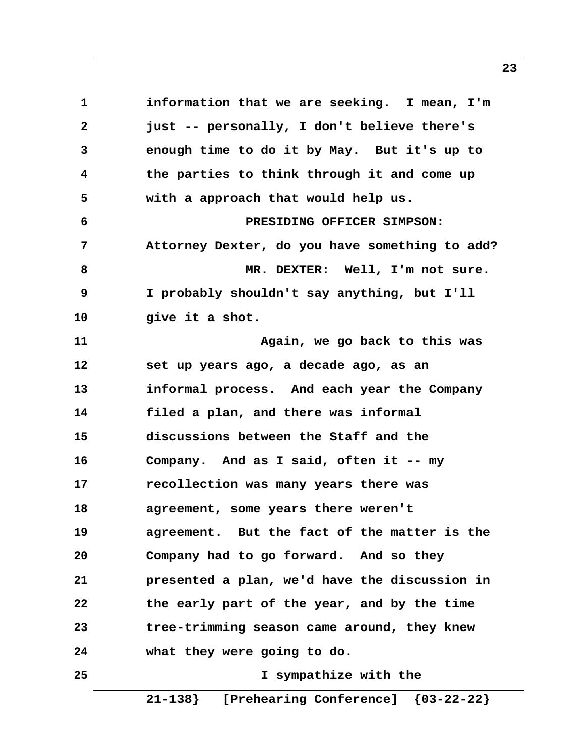**1 information that we are seeking. I mean, I'm 2 just -- personally, I don't believe there's 3 enough time to do it by May. But it's up to 4 the parties to think through it and come up 5 with a approach that would help us. 6 PRESIDING OFFICER SIMPSON: 7 Attorney Dexter, do you have something to add?** 8 | **MR. DEXTER:** Well, I'm not sure.  **9 I probably shouldn't say anything, but I'll 10 give it a shot. 11 Again, we go back to this was 12 set up years ago, a decade ago, as an 13 informal process. And each year the Company 14 filed a plan, and there was informal 15 discussions between the Staff and the 16 Company. And as I said, often it -- my 17 recollection was many years there was 18 agreement, some years there weren't 19 agreement. But the fact of the matter is the 20 Company had to go forward. And so they 21 presented a plan, we'd have the discussion in 22 the early part of the year, and by the time 23 tree-trimming season came around, they knew 24 what they were going to do. 25 I sympathize with the**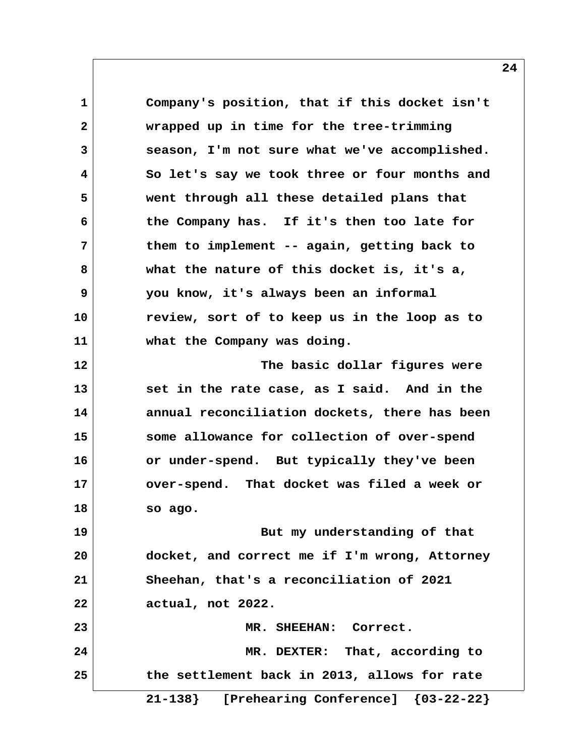**1 Company's position, that if this docket isn't 2 wrapped up in time for the tree-trimming 3 season, I'm not sure what we've accomplished. 4 So let's say we took three or four months and 5 went through all these detailed plans that 6 the Company has. If it's then too late for 7 them to implement -- again, getting back to 8 what the nature of this docket is, it's a, 9 you know, it's always been an informal 10 review, sort of to keep us in the loop as to 11 what the Company was doing. 12 The basic dollar figures were 13 set in the rate case, as I said. And in the 14 annual reconciliation dockets, there has been 15 some allowance for collection of over-spend 16 or under-spend. But typically they've been 17 over-spend. That docket was filed a week or 18 so ago. 19 But my understanding of that 20 docket, and correct me if I'm wrong, Attorney 21 Sheehan, that's a reconciliation of 2021 22 actual, not 2022. 23 MR. SHEEHAN: Correct. 24 MR. DEXTER: That, according to 25 the settlement back in 2013, allows for rate 21-138} [Prehearing Conference] {03-22-22}**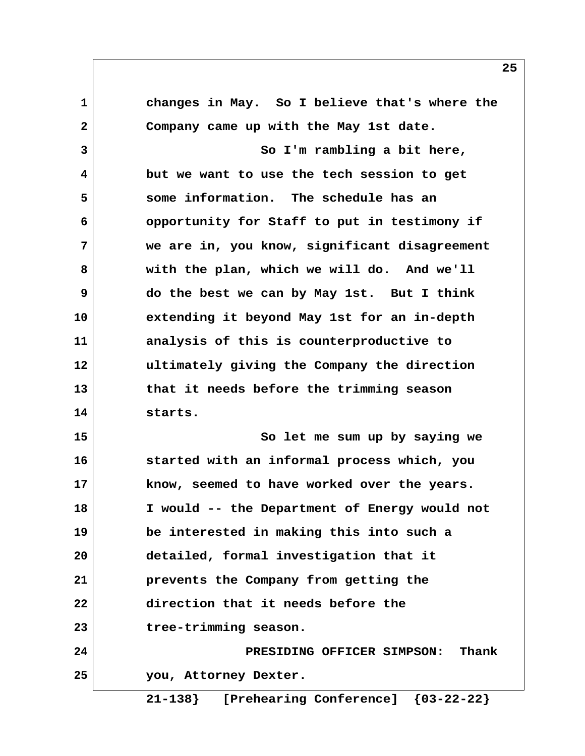**1 changes in May. So I believe that's where the 2 Company came up with the May 1st date. 3 So I'm rambling a bit here, 4 but we want to use the tech session to get 5 some information. The schedule has an 6 opportunity for Staff to put in testimony if 7 we are in, you know, significant disagreement 8 with the plan, which we will do. And we'll 9 do the best we can by May 1st. But I think 10 extending it beyond May 1st for an in-depth 11 analysis of this is counterproductive to 12 ultimately giving the Company the direction 13 that it needs before the trimming season 14 starts. 15 So let me sum up by saying we 16 started with an informal process which, you 17 know, seemed to have worked over the years. 18 I would -- the Department of Energy would not 19 be interested in making this into such a 20 detailed, formal investigation that it 21 prevents the Company from getting the 22 direction that it needs before the 23 tree-trimming season. 24 PRESIDING OFFICER SIMPSON: Thank 25 you, Attorney Dexter.**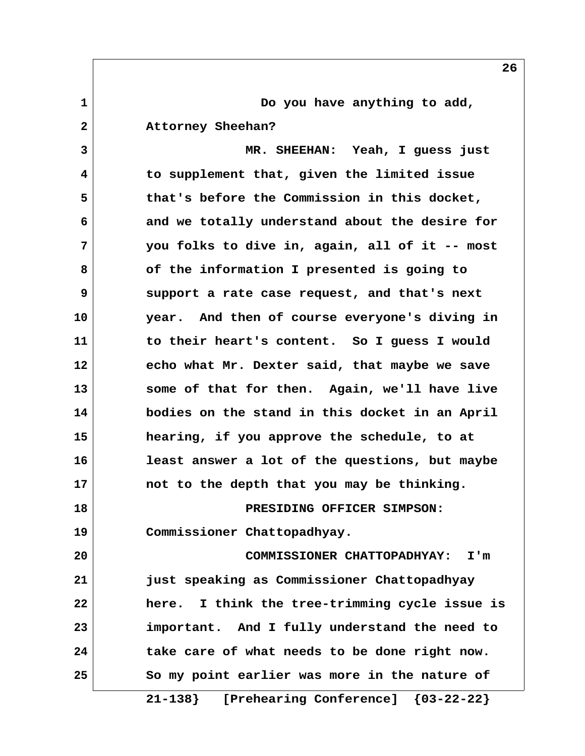**1 1** Do you have anything to add,  **2 Attorney Sheehan? 3 MR. SHEEHAN: Yeah, I guess just**

 **4 to supplement that, given the limited issue 5 that's before the Commission in this docket, 6 and we totally understand about the desire for 7 you folks to dive in, again, all of it -- most 8 of the information I presented is going to 9 support a rate case request, and that's next 10 year. And then of course everyone's diving in 11 to their heart's content. So I guess I would 12 echo what Mr. Dexter said, that maybe we save 13 some of that for then. Again, we'll have live 14 bodies on the stand in this docket in an April 15 hearing, if you approve the schedule, to at 16 least answer a lot of the questions, but maybe 17 not to the depth that you may be thinking. 18 PRESIDING OFFICER SIMPSON: 19 Commissioner Chattopadhyay. 20 COMMISSIONER CHATTOPADHYAY: I'm 21 just speaking as Commissioner Chattopadhyay 22 here. I think the tree-trimming cycle issue is 23 important. And I fully understand the need to 24 take care of what needs to be done right now.**

**25 So my point earlier was more in the nature of 21-138} [Prehearing Conference] {03-22-22}**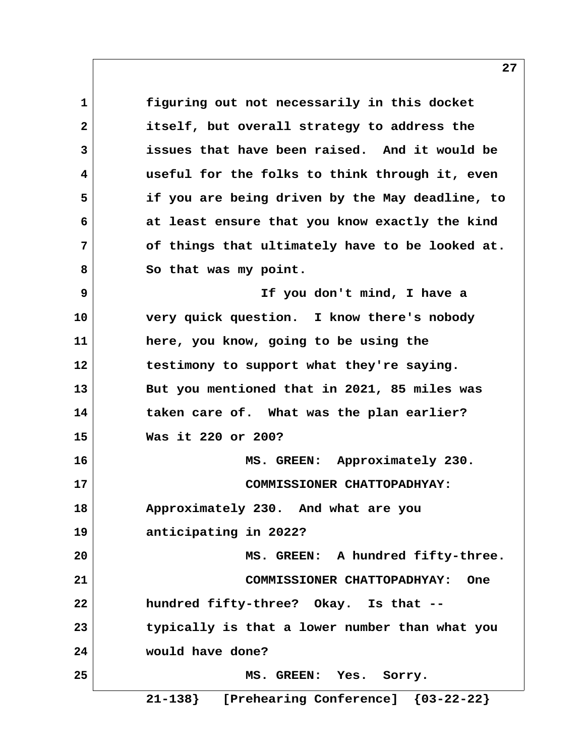**1 figuring out not necessarily in this docket 2 itself, but overall strategy to address the 3 issues that have been raised. And it would be 4 useful for the folks to think through it, even 5 if you are being driven by the May deadline, to 6 at least ensure that you know exactly the kind 7 of things that ultimately have to be looked at. 8 So that was my point. 9 If you don't mind, I have a 10 very quick question. I know there's nobody 11 here, you know, going to be using the 12 testimony to support what they're saying. 13 But you mentioned that in 2021, 85 miles was 14 taken care of. What was the plan earlier? 15 Was it 220 or 200? 16 MS. GREEN: Approximately 230. 17 COMMISSIONER CHATTOPADHYAY: 18 Approximately 230. And what are you 19 anticipating in 2022? 20 MS. GREEN: A hundred fifty-three. 21 COMMISSIONER CHATTOPADHYAY: One 22 hundred fifty-three? Okay. Is that -- 23 typically is that a lower number than what you 24 would have done? 25 MS. GREEN: Yes. Sorry.**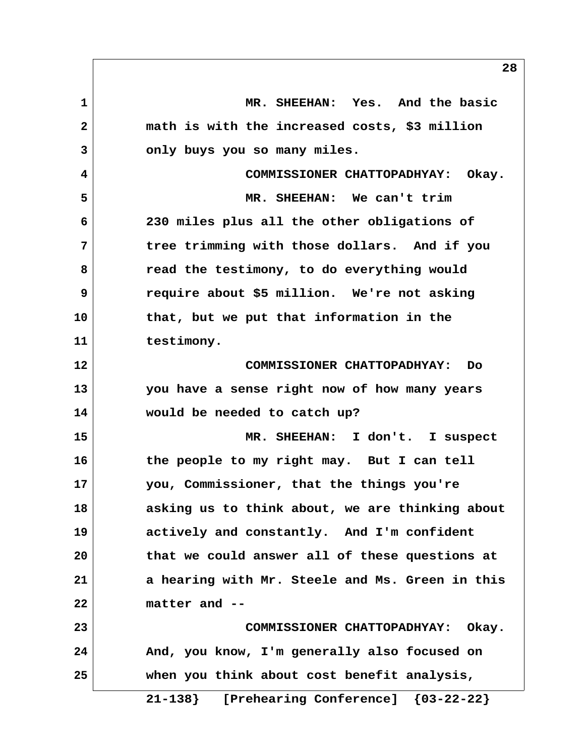**1 MR. SHEEHAN: Yes. And the basic 2 math is with the increased costs, \$3 million 3 only buys you so many miles. 4 COMMISSIONER CHATTOPADHYAY: Okay. 5 MR. SHEEHAN: We can't trim 6 230 miles plus all the other obligations of 7 tree trimming with those dollars. And if you 8 read the testimony, to do everything would 9 require about \$5 million. We're not asking 10 that, but we put that information in the 11 testimony. 12 COMMISSIONER CHATTOPADHYAY: Do 13 you have a sense right now of how many years 14 would be needed to catch up? 15 MR. SHEEHAN: I don't. I suspect 16 the people to my right may. But I can tell 17 you, Commissioner, that the things you're 18 asking us to think about, we are thinking about 19 actively and constantly. And I'm confident 20 that we could answer all of these questions at 21 a hearing with Mr. Steele and Ms. Green in this 22 matter and -- 23 COMMISSIONER CHATTOPADHYAY: Okay. 24 And, you know, I'm generally also focused on 25 when you think about cost benefit analysis,**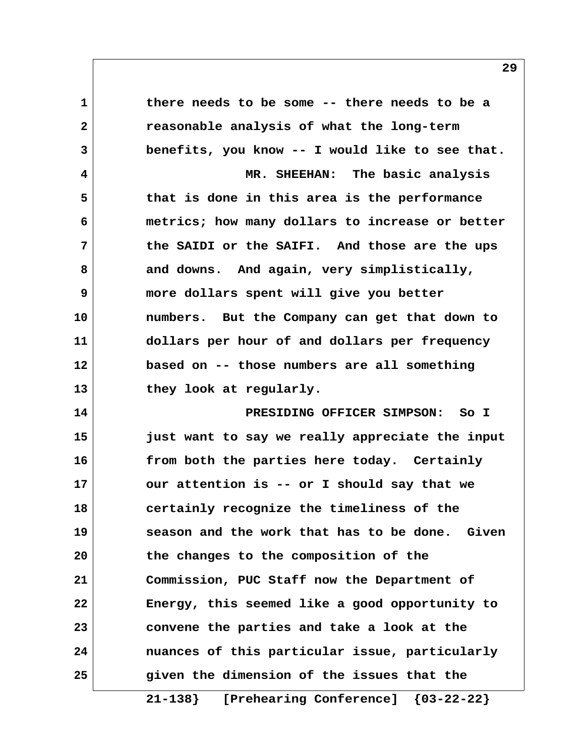**1 there needs to be some -- there needs to be a 2 reasonable analysis of what the long-term 3 benefits, you know -- I would like to see that. 4 MR. SHEEHAN: The basic analysis 5 that is done in this area is the performance 6 metrics; how many dollars to increase or better 7 the SAIDI or the SAIFI. And those are the ups 8 and downs. And again, very simplistically, 9 more dollars spent will give you better 10 numbers. But the Company can get that down to 11 dollars per hour of and dollars per frequency 12 based on -- those numbers are all something 13 they look at regularly. 14 PRESIDING OFFICER SIMPSON: So I 15 just want to say we really appreciate the input 16 from both the parties here today. Certainly 17 our attention is -- or I should say that we 18 certainly recognize the timeliness of the 19 season and the work that has to be done. Given 20 the changes to the composition of the 21 Commission, PUC Staff now the Department of 22 Energy, this seemed like a good opportunity to 23 convene the parties and take a look at the 24 nuances of this particular issue, particularly 25 given the dimension of the issues that the**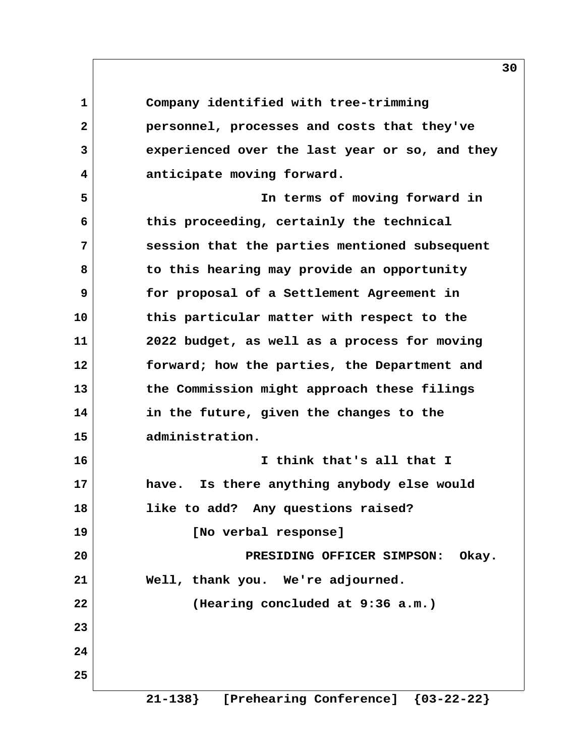**1 Company identified with tree-trimming 2 personnel, processes and costs that they've 3 experienced over the last year or so, and they 4 anticipate moving forward. 5 In terms of moving forward in 6 this proceeding, certainly the technical 7 session that the parties mentioned subsequent 8 to this hearing may provide an opportunity 9 for proposal of a Settlement Agreement in 10 this particular matter with respect to the 11 2022 budget, as well as a process for moving 12 forward; how the parties, the Department and 13 the Commission might approach these filings 14 in the future, given the changes to the 15 administration. 16 I think that's all that I 17 have. Is there anything anybody else would 18 like to add? Any questions raised? 19 [No verbal response] 20 PRESIDING OFFICER SIMPSON: Okay. 21 Well, thank you. We're adjourned. 22 (Hearing concluded at 9:36 a.m.) 23 24 25 21-138} [Prehearing Conference] {03-22-22}**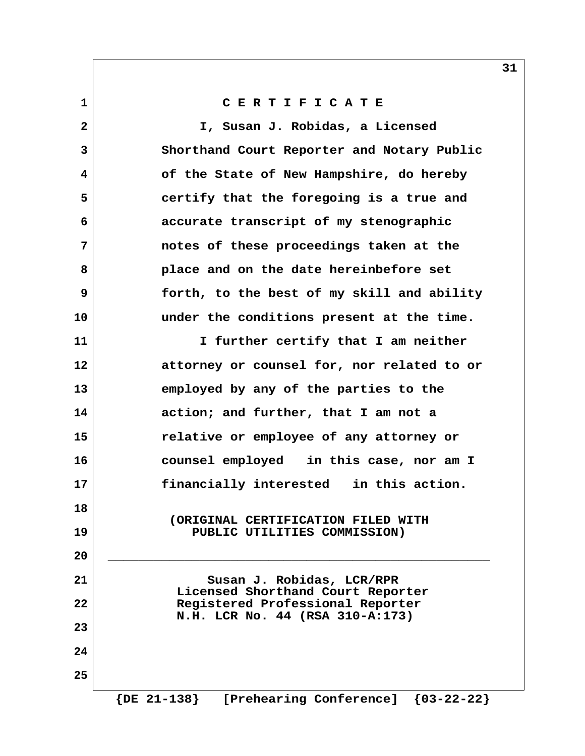## **1 C E R T I F I C A T E**

 **2 I, Susan J. Robidas, a Licensed 3 Shorthand Court Reporter and Notary Public 4 of the State of New Hampshire, do hereby 5 certify that the foregoing is a true and 6 accurate transcript of my stenographic 7 notes of these proceedings taken at the 8 place and on the date hereinbefore set 9 forth, to the best of my skill and ability 10 under the conditions present at the time. 11 I further certify that I am neither 12 attorney or counsel for, nor related to or 13 employed by any of the parties to the 14 action; and further, that I am not a 15 relative or employee of any attorney or 16 counsel employed in this case, nor am I 17 financially interested in this action. 18 (ORIGINAL CERTIFICATION FILED WITH 19 PUBLIC UTILITIES COMMISSION) 20 \_\_\_\_\_\_\_\_\_\_\_\_\_\_\_\_\_\_\_\_\_\_\_\_\_\_\_\_\_\_\_\_\_\_\_\_\_\_\_\_\_\_\_\_\_\_\_\_\_\_ 21 Susan J. Robidas, LCR/RPR Licensed Shorthand Court Reporter 22 Registered Professional Reporter N.H. LCR No. 44 (RSA 310-A:173) 23 24 25**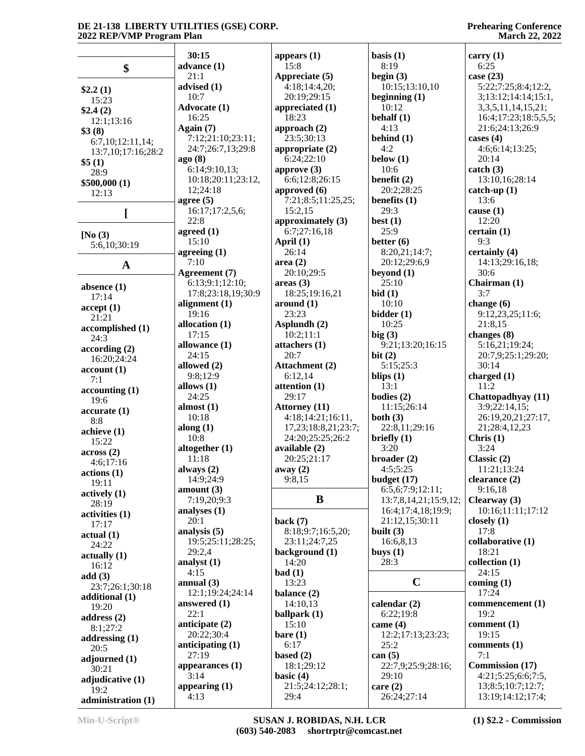|                    | 30:15              | appears $(1)$        | basis $(1)$           | carry $(1)$              |
|--------------------|--------------------|----------------------|-----------------------|--------------------------|
| \$                 | advance (1)        | 15:8                 | 8:19                  | 6:25                     |
|                    | 21:1               | Appreciate (5)       | begin $(3)$           | case $(23)$              |
|                    | advised (1)        | 4:18;14:4,20;        | 10:15;13:10,10        | 5:22;7:25;8:4;12:2,      |
| \$2.2(1)           |                    |                      |                       |                          |
| 15:23              | 10:7               | 20:19;29:15          | beginning $(1)$       | 3;13:12;14:14;15:1,      |
| \$2.4(2)           | Advocate (1)       | appreciated (1)      | 10:12                 | 3, 3, 5, 11, 14, 15, 21; |
| 12:1;13:16         | 16:25              | 18:23                | behalf $(1)$          | 16:4;17:23;18:5,5,5;     |
| \$3(8)             | Again $(7)$        | approach $(2)$       | 4:13                  | 21:6;24:13;26:9          |
| 6:7,10;12:11,14;   | 7:12;21:10;23:11;  | 23:5;30:13           | behind $(1)$          | cases $(4)$              |
| 13:7,10;17:16;28:2 | 24:7;26:7,13;29:8  | appropriate (2)      | 4:2                   | 4:6;6:14;13:25;          |
| \$5(1)             | ago (8)            | 6:24;22:10           | below $(1)$           | 20:14                    |
|                    | 6:14;9:10,13;      | approve $(3)$        | 10:6                  | catch (3)                |
| 28:9               | 10:18;20:11;23:12, | 6:6;12:8;26:15       | benefit $(2)$         | 13:10,16;28:14           |
| \$500,000 (1)      | 12;24:18           | approved (6)         | 20:2;28:25            | $catch-up(1)$            |
| 12:13              |                    |                      | benefits $(1)$        | 13:6                     |
|                    | agree $(5)$        | 7:21;8:5;11:25,25;   |                       |                          |
| [                  | 16:17;17:2,5,6;    | 15:2,15              | 29:3                  | cause $(1)$              |
|                    | 22:8               | approximately (3)    | best $(1)$            | 12:20                    |
| [No $(3)$          | agreed $(1)$       | 6:7;27:16,18         | 25:9                  | certain(1)               |
| 5:6,10;30:19       | 15:10              | April (1)            | better $(6)$          | 9:3                      |
|                    | agreeing $(1)$     | 26:14                | 8:20,21;14:7;         | certainly (4)            |
|                    | 7:10               | area(2)              | 20:12;29:6,9          | 14:13;29:16,18;          |
| $\mathbf{A}$       | Agreement (7)      | 20:10;29:5           | beyond $(1)$          | 30:6                     |
|                    | 6:13;9:1;12:10;    | areas(3)             | 25:10                 | Chairman (1)             |
| absence $(1)$      | 17:8;23:18,19;30:9 | 18:25;19:16,21       | bid(1)                | 3:7                      |
| 17:14              |                    |                      |                       |                          |
| accept(1)          | alignment $(1)$    | around (1)           | 10:10                 | change $(6)$             |
| 21:21              | 19:16              | 23:23                | bidder (1)            | 9:12,23,25;11:6;         |
| accomplished (1)   | allocation (1)     | Asplundh (2)         | 10:25                 | 21:8,15                  |
| 24:3               | 17:15              | 10:2;11:1            | big(3)                | changes $(8)$            |
| according(2)       | allowance (1)      | attachers (1)        | 9:21;13:20;16:15      | 5:16,21;19:24;           |
| 16:20;24:24        | 24:15              | 20:7                 | bit $(2)$             | 20:7,9;25:1;29:20;       |
|                    | allowed (2)        | Attachment (2)       | 5:15;25:3             | 30:14                    |
| account(1)         | 9:8;12:9           | 6:12,14              | blips $(1)$           | charged $(1)$            |
| 7:1                | allows $(1)$       | attention $(1)$      | 13:1                  | 11:2                     |
| accounting (1)     | 24:25              | 29:17                | bodies $(2)$          | Chattopadhyay (11)       |
| 19:6               |                    |                      |                       |                          |
| accurate(1)        | almost $(1)$       | <b>Attorney</b> (11) | 11:15;26:14           | 3:9;22:14,15;            |
| 8:8                | 10:18              | 4:18;14:21;16:11,    | both $(3)$            | 26:19,20,21;27:17,       |
| achieve(1)         | along $(1)$        | 17,23;18:8,21;23:7;  | 22:8,11;29:16         | 21;28:4,12,23            |
| 15:22              | 10:8               | 24:20;25:25;26:2     | briefly $(1)$         | Christ (1)               |
| across(2)          | altogether (1)     | available (2)        | 3:20                  | 3:24                     |
| 4:6;17:16          | 11:18              | 20:25;21:17          | broader(2)            | Classic $(2)$            |
|                    | always (2)         | away $(2)$           | 4:5;5:25              | 11:21;13:24              |
| actions(1)         | 14:9;24:9          | 9:8.15               | budget $(17)$         | clearance $(2)$          |
| 19:11              | amount $(3)$       |                      | 6:5,6;7:9;12:11;      | 9:16,18                  |
| actively(1)        | 7:19,20;9:3        | B                    | 13:7,8,14,21;15:9,12; | Clearway (3)             |
| 28:19              |                    |                      |                       |                          |
| activities (1)     | analyses $(1)$     |                      | 16:4;17:4,18;19:9;    | 10:16;11:11;17:12        |
| 17:17              | 20:1               | back $(7)$           | 21:12,15;30:11        | closely $(1)$            |
| actual(1)          | analysis $(5)$     | 8:18;9:7;16:5,20;    | built $(3)$           | 17:8                     |
| 24:22              | 19:5;25:11;28:25;  | 23:11;24:7,25        | 16:6,8,13             | collaborative (1)        |
| actually(1)        | 29:2,4             | background (1)       | buys $(1)$            | 18:21                    |
| 16:12              | analyst $(1)$      | 14:20                | 28:3                  | collection (1)           |
| add(3)             | 4:15               | bad(1)               |                       | 24:15                    |
|                    | annual $(3)$       | 13:23                | $\mathbf C$           | coming $(1)$             |
| 23:7;26:1;30:18    | 12:1;19:24;24:14   | balance (2)          |                       | 17:24                    |
| additional (1)     | answered $(1)$     | 14:10,13             | calendar $(2)$        | commencement (1)         |
| 19:20              | 22:1               | ballpark (1)         | 6:22;19:8             | 19:2                     |
| address $(2)$      |                    |                      |                       |                          |
| 8:1;27:2           | anticipate $(2)$   | 15:10                | came $(4)$            | comment $(1)$            |
| addressing $(1)$   | 20:22;30:4         | bare(1)              | 12:2;17:13;23:23;     | 19:15                    |
| 20:5               | anticipating (1)   | 6:17                 | 25:2                  | comments (1)             |
| adjourned (1)      | 27:19              | based $(2)$          | can $(5)$             | 7:1                      |
| 30:21              | appearances $(1)$  | 18:1;29:12           | 22:7,9;25:9;28:16;    | <b>Commission</b> (17)   |
| adjudicative (1)   | 3:14               | basic $(4)$          | 29:10                 | 4:21;5:25;6:6;7:5,       |
|                    | appearing $(1)$    | 21:5;24:12;28:1;     | care $(2)$            | 13;8:5;10:7;12:7;        |
| 19:2               | 4:13               | 29:4                 | 26:24;27:14           | 13:19;14:12;17:4;        |
| administration (1) |                    |                      |                       |                          |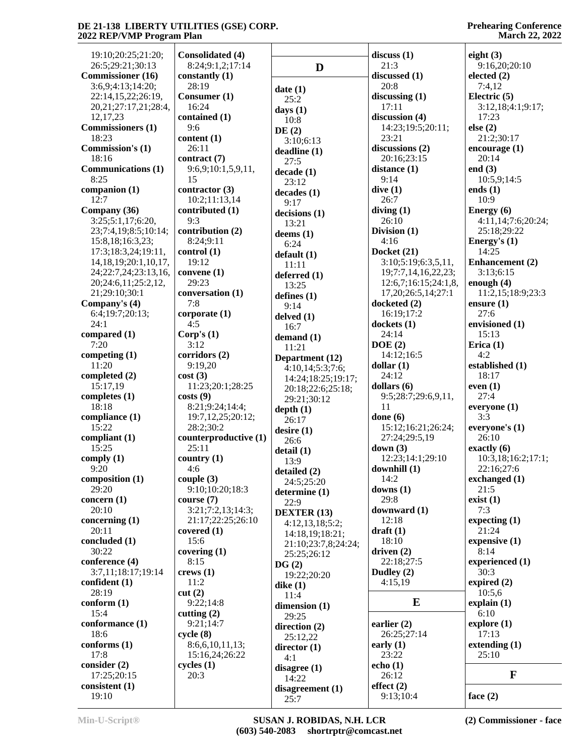| 19:10;20:25;21:20;<br>26:5;29:21;30:13 | <b>Consolidated (4)</b><br>8:24;9:1,2;17:14 |                     | discuss(1)<br>21:3       | eight $(3)$<br>9:16,20;20:10 |
|----------------------------------------|---------------------------------------------|---------------------|--------------------------|------------------------------|
| <b>Commissioner</b> (16)               | constantly (1)                              | D                   | discussed (1)            | elected $(2)$                |
| 3:6,9;4:13;14:20;                      | 28:19                                       |                     | 20:8                     | 7:4,12                       |
| 22:14,15,22;26:19,                     | Consumer (1)                                | date(1)             | discussing $(1)$         | Electric $(5)$               |
| 20, 21, 27: 17, 21, 28: 4,             | 16:24                                       | 25:2                | 17:11                    | 3:12,18;4:1;9:17;            |
| 12, 17, 23                             | contained (1)                               | days $(1)$          | discussion (4)           | 17:23                        |
| <b>Commissioners</b> (1)               | 9:6                                         | 10:8                | 14:23;19:5;20:11;        | else(2)                      |
| 18:23                                  | content(1)                                  | DE(2)               | 23:21                    | 21:2;30:17                   |
| <b>Commission's (1)</b>                | 26:11                                       | 3:10;6:13           | discussions $(2)$        | encourage $(1)$              |
| 18:16                                  | contract (7)                                | deadline (1)        | 20:16;23:15              | 20:14                        |
| <b>Communications (1)</b>              | 9:6,9;10:1,5,9,11,                          | 27:5                |                          | end $(3)$                    |
| 8:25                                   | 15                                          | decade (1)          | distance $(1)$<br>9:14   |                              |
|                                        |                                             | 23:12               |                          | 10:5,9;14:5                  |
| companion $(1)$<br>12:7                | contractor $(3)$<br>10:2;11:13,14           | decades(1)          | dive(1)<br>26:7          | ends $(1)$<br>10:9           |
| Company (36)                           | contributed (1)                             | 9:17                | diving(1)                | Energy (6)                   |
| 3:25;5:1,17;6:20,                      | 9:3                                         | decisions (1)       | 26:10                    | 4:11,14;7:6;20:24;           |
|                                        |                                             | 13:21               |                          |                              |
| 23;7:4,19;8:5;10:14;                   | contribution (2)                            | deems $(1)$         | Division (1)<br>4:16     | 25:18;29:22                  |
| 15:8,18;16:3,23;                       | 8:24;9:11                                   | 6:24                |                          | Energy's $(1)$               |
| 17:3;18:3,24;19:11,                    | control(1)                                  | default(1)          | Docket (21)              | 14:25<br>Enhancement (2)     |
| 14, 18, 19; 20: 1, 10, 17,             | 19:12                                       | 11:11               | 3:10;5:19;6:3,5,11,      |                              |
| 24;22:7,24;23:13,16,                   | convene $(1)$<br>29:23                      | deferred (1)        | 19;7:7,14,16,22,23;      | 3:13;6:15                    |
| 20;24:6,11;25:2,12,                    |                                             | 13:25               | 12:6,7;16:15;24:1,8,     | enough $(4)$                 |
| 21;29:10;30:1                          | conversation (1)<br>7:8                     | defines $(1)$       | 17, 20; 26: 5, 14; 27: 1 | 11:2,15;18:9;23:3            |
| Company's (4)                          |                                             | 9:14                | docketed (2)             | ensure $(1)$                 |
| 6:4;19:7;20:13;                        | corporate(1)                                | delved (1)          | 16:19;17:2               | 27:6                         |
| 24:1                                   | 4:5                                         | 16:7                | dockets(1)               | envisioned (1)               |
| compared (1)                           | Corp's $(1)$                                | demand $(1)$        | 24:14                    | 15:13                        |
| 7:20                                   | 3:12                                        | 11:21               | DOE(2)                   | Erica $(1)$                  |
| competing $(1)$                        | corridors (2)                               | Department (12)     | 14:12;16:5               | 4:2                          |
| 11:20                                  | 9:19,20                                     | 4:10,14;5:3;7:6;    | dollar(1)                | established (1)              |
| completed (2)                          | cost(3)                                     | 14:24;18:25;19:17;  | 24:12                    | 18:17                        |
| 15:17,19                               | 11:23;20:1;28:25                            | 20:18;22:6;25:18;   | dollars $(6)$            | even $(1)$                   |
| completes $(1)$                        | costs(9)                                    | 29:21;30:12         | 9:5;28:7;29:6,9,11,      | 27:4                         |
| 18:18                                  | 8:21;9:24;14:4;                             | depth(1)            | 11                       | everyone (1)                 |
| compliance (1)                         | 19:7, 12, 25; 20:12;                        | 26:17               | done $(6)$               | 3:3                          |
| 15:22                                  | 28:2;30:2                                   | desire(1)           | 15:12;16:21;26:24;       | everyone's (1)               |
| compliant (1)                          | counterproductive (1)                       | 26:6                | 27:24;29:5,19            | 26:10                        |
| 15:25                                  | 25:11                                       | detail (1)          | down $(3)$               | exactly (6)                  |
| comply $(1)$                           | country $(1)$                               | 13:9                | 12:23;14:1;29:10         | 10:3,18;16:2;17:1;           |
| 9:20                                   | 4:6                                         | detailed (2)        | downhill $(1)$           | 22:16;27:6                   |
| composition $(1)$                      | couple $(3)$                                | 24:5;25:20          | 14:2                     | exchanged (1)                |
| 29:20                                  | 9:10;10:20;18:3                             | determine (1)       | downs $(1)$              | 21:5                         |
| concern (1)                            | course $(7)$                                | 22:9                | 29:8                     | exist(1)                     |
| 20:10                                  | 3:21;7:2,13;14:3;                           | <b>DEXTER (13)</b>  | downward (1)             | 7:3                          |
| concerning (1)                         | 21:17;22:25;26:10                           | 4:12,13,18;5:2;     | 12:18                    | expecting $(1)$              |
| 20:11                                  | covered $(1)$                               | 14:18,19;18:21;     | $dr$ aft $(1)$           | 21:24                        |
| concluded (1)                          | 15:6                                        | 21:10;23:7,8;24:24; | 18:10                    | expensive $(1)$              |
| 30:22                                  | covering (1)                                | 25:25;26:12         | driven $(2)$             | 8:14                         |
| conference (4)                         | 8:15                                        | DG(2)               | 22:18;27:5               | experienced (1)              |
| 3:7,11;18:17;19:14                     | crews(1)                                    | 19:22;20:20         | Dudley $(2)$             | 30:3                         |
| confident $(1)$                        | 11:2                                        | dike $(1)$          | 4:15,19                  | expired $(2)$                |
| 28:19                                  | cut(2)                                      | 11:4                |                          | 10:5,6                       |
| conform(1)                             | 9:22;14:8                                   | dimension (1)       | E                        | explain(1)                   |
| 15:4                                   | cutting $(2)$                               | 29:25               |                          | 6:10                         |
| conformance (1)                        | 9:21;14:7                                   | direction (2)       | earlier $(2)$            | explore(1)                   |
| 18:6                                   | cycle(8)                                    | 25:12,22            | 26:25;27:14              | 17:13                        |
| conforms (1)                           | 8:6,6,10,11,13;                             | director $(1)$      | early $(1)$              | extending $(1)$              |
| 17:8                                   | 15:16,24;26:22                              | 4:1                 | 23:22                    | 25:10                        |
| consider $(2)$                         | cycles(1)                                   | disagree (1)        | echo $(1)$               |                              |
| 17:25;20:15                            | 20:3                                        | 14:22               | 26:12                    | $\mathbf F$                  |
| consistent (1)                         |                                             | disagreement (1)    | effect $(2)$             |                              |
| 19:10                                  |                                             | 25:7                | 9:13;10:4                | face $(2)$                   |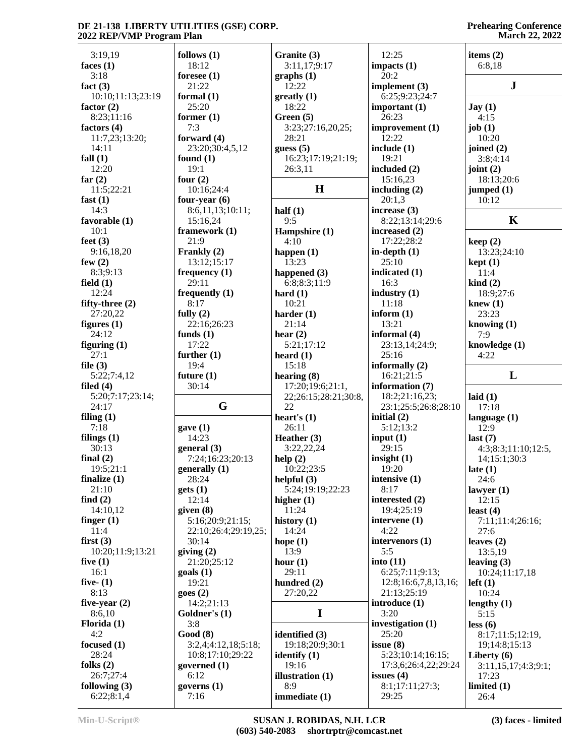#### **Prehearing Conference March 22, 2022**

| 3:19,19           | follows $(1)$                           | Granite (3)             | 12:25                | items $(2)$                  |
|-------------------|-----------------------------------------|-------------------------|----------------------|------------------------------|
| faces $(1)$       | 18:12                                   | 3:11,17;9:17            | impacts $(1)$        | 6:8,18                       |
| 3:18              | foresee $(1)$                           | graphs(1)               | 20:2                 |                              |
| fact $(3)$        | 21:22                                   | 12:22                   | implement $(3)$      | ${\bf J}$                    |
| 10:10;11:13;23:19 | formal $(1)$                            | $g realty (1)$          | 6:25;9:23;24:7       |                              |
| factor $(2)$      | 25:20                                   | 18:22                   | important $(1)$      | $\text{Jay}(1)$              |
| 8:23;11:16        | former $(1)$                            | Green (5)               | 26:23                | 4:15                         |
| factors $(4)$     | 7:3                                     | 3:23;27:16,20,25;       | improvement (1)      | job $(1)$                    |
| 11:7,23;13:20;    | forward $(4)$                           | 28:21                   | 12:22                | 10:20                        |
| 14:11             | 23:20;30:4,5,12                         | guess $(5)$             | include $(1)$        | joined $(2)$                 |
| fall $(1)$        | found $(1)$                             | 16:23;17:19;21:19;      | 19:21                | 3:8;4:14                     |
| 12:20             | 19:1                                    | 26:3,11                 | included (2)         | joint $(2)$                  |
| far $(2)$         | four $(2)$                              |                         | 15:16,23             | 18:13;20:6                   |
| 11:5;22:21        | 10:16;24:4                              | H                       | including $(2)$      | jumped $(1)$                 |
| fast $(1)$        | four-year $(6)$                         |                         | 20:1,3               | 10:12                        |
| 14:3              | 8:6,11,13;10:11;                        | half $(1)$              | increase $(3)$       |                              |
| favorable (1)     | 15:16,24                                | 9:5                     | 8:22;13:14;29:6      | $\mathbf K$                  |
| 10:1              | framework (1)                           | Hampshire (1)           | increased $(2)$      |                              |
| feet $(3)$        | 21:9                                    | 4:10                    | 17:22;28:2           | keep(2)                      |
| 9:16,18,20        | Frankly (2)                             | happen $(1)$            | in-depth $(1)$       | 13:23;24:10                  |
| few $(2)$         | 13:12;15:17                             | 13:23                   | 25:10                | kept(1)                      |
| 8:3;9:13          | frequency $(1)$                         | happened $(3)$          | indicated (1)        | 11:4                         |
| field $(1)$       | 29:11                                   | 6:8:8:3:11:9            | 16:3                 | $\operatorname{kind}(2)$     |
| 12:24             | frequently $(1)$                        | hard $(1)$              | industry $(1)$       | 18:9;27:6                    |
| fifty-three $(2)$ | 8:17                                    | 10:21                   | 11:18                | knew $(1)$                   |
| 27:20,22          | fully $(2)$                             | harder $(1)$            | inform $(1)$         | 23:23                        |
| figures $(1)$     | 22:16;26:23                             | 21:14                   | 13:21                | knowing $(1)$                |
| 24:12             | funds $(1)$                             | hear $(2)$              | informal (4)         | 7:9                          |
| figuring $(1)$    | 17:22                                   | 5:21;17:12              | 23:13,14;24:9;       | knowledge (1)                |
| 27:1              | further $(1)$                           | heard $(1)$             | 25:16                | 4:22                         |
| file $(3)$        | 19:4                                    | 15:18                   | informally $(2)$     |                              |
|                   |                                         |                         |                      |                              |
| 5:22;7:4,12       | future $(1)$                            | hearing (8)             | 16:21;21:5           | L                            |
| filed $(4)$       | 30:14                                   | 17:20;19:6;21:1,        | information (7)      |                              |
| 5:20;7:17;23:14;  |                                         | 22;26:15;28:21;30:8,    | 18:2;21:16,23;       | laid $(1)$                   |
| 24:17             | G                                       | 22                      | 23:1;25:5;26:8;28:10 | 17:18                        |
| filing $(1)$      |                                         | heart's $(1)$           | initial $(2)$        | language $(1)$               |
| 7:18              | gave(1)                                 | 26:11                   | 5:12;13:2            | 12:9                         |
| filings $(1)$     | 14:23                                   | Heather (3)             | input $(1)$          | last $(7)$                   |
| 30:13             | general $(3)$                           | 3:22,22,24              | 29:15                | 4:3;8:3;11:10;12:5,          |
| final $(2)$       | 7:24;16:23;20:13                        | help(2)                 | insight $(1)$        | 14;15:1;30:3                 |
| 19:5;21:1         | generally (1)                           | 10:22;23:5              | 19:20                |                              |
| finalize $(1)$    | 28:24                                   | helpful $(3)$           | intensive (1)        | late $(1)$<br>24:6           |
| 21:10             | gets(1)                                 | 5:24;19:19;22:23        | 8:17                 | lawyer $(1)$                 |
| find $(2)$        | 12:14                                   | higher $(1)$            | interested (2)       | 12:15                        |
| 14:10,12          | given $(8)$                             | 11:24                   | 19:4;25:19           | least $(4)$                  |
| finger $(1)$      | 5:16;20:9;21:15;                        | history $(1)$           | intervene (1)        | 7:11;11:4;26:16;             |
| 11:4              | 22:10;26:4;29:19,25;                    | 14:24                   | 4:22                 | 27:6                         |
| first $(3)$       | 30:14                                   | hope $(1)$              | intervenors (1)      | leaves $(2)$                 |
| 10:20;11:9;13:21  | giving $(2)$                            | 13:9                    | 5:5                  | 13:5,19                      |
| five $(1)$        | 21:20;25:12                             | hour $(1)$              | into $(11)$          | leaving $(3)$                |
| 16:1              | $\text{goals}$ (1)                      | 29:11                   | 6:25;7:11;9:13;      | 10:24;11:17,18               |
| five- $(1)$       | 19:21                                   | hundred (2)             | 12:8;16:6,7,8,13,16; | $left(1\right)$              |
| 8:13              | goes(2)                                 | 27:20,22                | 21:13;25:19          | 10:24                        |
| five-year $(2)$   | 14:2;21:13                              |                         | introduce (1)        |                              |
| 8:6,10            | Goldner's (1)                           | I                       | 3:20                 | lengthy $(1)$<br>5:15        |
| Florida $(1)$     | 3:8                                     |                         | investigation $(1)$  | less (6)                     |
| 4:2               | Good(8)                                 |                         | 25:20                |                              |
| focused $(1)$     |                                         | identified (3)          | issue $(8)$          | 8:17;11:5;12:19,             |
| 28:24             | 3:2,4;4:12,18;5:18;<br>10:8;17:10;29:22 | 19:18;20:9;30:1         | 5:23;10:14;16:15;    | 19;14:8;15:13                |
| folks $(2)$       | governed $(1)$                          | identify $(1)$<br>19:16 | 17:3,6;26:4,22;29:24 | Liberty $(6)$                |
| 26:7;27:4         | 6:12                                    |                         | issues $(4)$         | 3:11,15,17;4:3;9:1;<br>17:23 |
| following $(3)$   | governs $(1)$                           | illustration (1)<br>8:9 | 8:1;17:11;27:3;      | limited $(1)$                |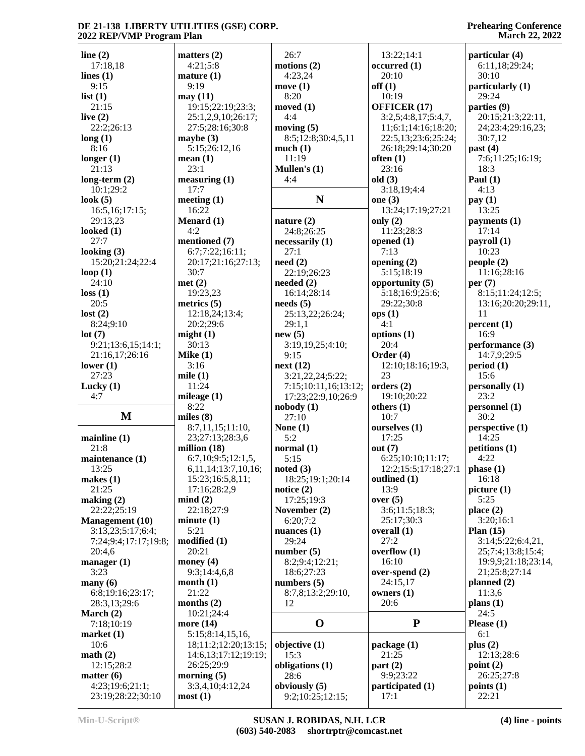#### **Prehearing Conference March 22, 2022**

| line $(2)$                           | matters $(2)$               | 26:7                              | 13:22;14:1               | particular (4)      |
|--------------------------------------|-----------------------------|-----------------------------------|--------------------------|---------------------|
| 17:18,18                             | 4:21;5:8                    | motions $(2)$                     | occurred(1)              | 6:11,18;29:24;      |
| lines $(1)$                          | mature(1)                   | 4:23,24                           | 20:10                    | 30:10               |
| 9:15                                 | 9:19                        | move $(1)$                        | off(1)                   | particularly (1)    |
| list(1)                              | may(11)                     | 8:20                              | 10:19                    | 29:24               |
| 21:15                                | 19:15;22:19;23:3;           | moved $(1)$                       | OFFICER (17)             | parties (9)         |
| live $(2)$                           | 25:1,2,9,10;26:17;          | 4:4                               | 3:2,5;4:8,17;5:4,7,      | 20:15;21:3;22:11,   |
| 22:2;26:13                           | 27:5;28:16;30:8             | moving $(5)$                      | 11;6:1;14:16;18:20;      | 24;23:4;29:16,23;   |
| long(1)                              | maybe $(3)$                 | 8:5;12:8;30:4,5,11                | 22:5,13;23:6;25:24;      | 30:7,12             |
| 8:16                                 | 5:15;26:12,16               | much(1)                           | 26:18;29:14;30:20        | past $(4)$          |
| longer $(1)$                         | mean(1)                     | 11:19                             | often $(1)$              | 7:6;11:25;16:19;    |
| 21:13                                | 23:1                        | Mullen's $(1)$                    | 23:16                    | 18:3                |
| long-term $(2)$                      | measuring (1)               | 4:4                               | old(3)                   | Paul $(1)$          |
| 10:1;29:2                            | 17:7                        |                                   | 3:18,19;4:4              | 4:13                |
| look $(5)$                           | meeting $(1)$               | N                                 | one $(3)$                | pay(1)              |
| 16:5, 16; 17:15;                     | 16:22                       |                                   | 13:24;17:19;27:21        | 13:25               |
| 29:13,23                             | Menard (1)                  | nature $(2)$                      | only $(2)$               | payments (1)        |
| looked $(1)$                         | 4:2                         | 24:8;26:25                        | 11:23;28:3               | 17:14               |
| 27:7                                 | mentioned (7)               | necessarily (1)                   | opened $(1)$             | payroll (1)         |
| looking $(3)$                        | 6:7;7:22;16:11;             | 27:1                              | 7:13                     | 10:23               |
| 15:20;21:24;22:4                     | 20:17;21:16;27:13;          | need $(2)$                        | opening $(2)$            | people(2)           |
| loop $(1)$                           | 30:7                        | 22:19;26:23                       | 5:15;18:19               | 11:16;28:16         |
| 24:10                                | met(2)                      | needed $(2)$                      | opportunity (5)          | per $(7)$           |
| loss(1)                              | 19:23,23                    | 16:14:28:14                       | 5:18:16:9:25:6:          | 8:15;11:24;12:5;    |
| 20:5                                 | metrics $(5)$               | needs(5)                          | 29:22;30:8               | 13:16;20:20;29:11,  |
| lost(2)                              | 12:18,24;13:4;              | 25:13,22;26:24;                   | ops(1)                   | 11                  |
| 8:24;9:10                            | 20:2;29:6                   | 29:1,1                            | 4:1                      | percent(1)          |
| lot(7)                               | might(1)                    | new(5)                            | options (1)              | 16:9                |
|                                      | 30:13                       | 3:19,19,25;4:10;                  | 20:4                     | performance (3)     |
| 9:21;13:6,15;14:1;                   |                             |                                   |                          |                     |
| 21:16,17;26:16                       | Mike $(1)$                  | 9:15                              | Order $(4)$              | 14:7,9;29:5         |
| lower $(1)$                          | 3:16                        | next(12)                          | 12:10;18:16;19:3,        | period(1)           |
| 27:23                                | mile $(1)$                  | 3:21,22,24;5:22;                  | 23                       | 15:6                |
| Lucky $(1)$                          | 11:24                       | 7:15;10:11,16;13:12;              | orders $(2)$             | personally (1)      |
| 4:7                                  | mileage $(1)$               | 17:23;22:9,10;26:9                | 19:10;20:22              | 23:2                |
|                                      | 8:22                        | nobody(1)                         | others $(1)$             | personnel (1)       |
| M                                    | miles $(8)$                 | 27:10                             | 10:7                     | 30:2                |
|                                      | 8:7,11,15;11:10,            | None $(1)$                        | ourselves (1)            | perspective (1)     |
| mainline(1)                          | 23;27:13;28:3,6             | 5:2                               | 17:25                    | 14:25               |
| 21:8                                 | million $(18)$              | normal $(1)$                      | out $(7)$                | petitions (1)       |
| maintenance (1)                      | 6:7,10;9:5;12:1,5,          | 5:15                              | 6:25;10:10;11:17;        | 4:22                |
| 13:25                                | 6,11,14;13:7,10,16;         | noted $(3)$                       | 12:2;15:5;17:18;27:1     | phase(1)            |
| makes $(1)$                          | 15:23;16:5,8,11;            | 18:25;19:1;20:14                  | outlined (1)             | 16:18               |
| 21:25                                | 17:16;28:2,9                | notice $(2)$                      | 13:9                     | picture(1)          |
| making $(2)$                         | mind(2)                     | 17:25;19:3                        | over $(5)$               | 5:25                |
| 22:22:25:19                          | 22:18:27:9                  | November (2)                      | 3:6;11:5;18:3;           | place $(2)$         |
| <b>Management</b> (10)               | minute(1)                   | 6:20;7:2                          | 25:17;30:3               | 3:20;16:1           |
| 3:13,23;5:17;6:4;                    | 5:21                        | nuances $(1)$                     | overall $(1)$            | Plan $(15)$         |
| 7:24;9:4;17:17;19:8;                 | modified(1)                 | 29:24                             | 27:2                     | 3:14;5:22;6:4,21,   |
| 20:4,6                               | 20:21                       | number $(5)$                      | overflow $(1)$           | 25;7:4;13:8;15:4;   |
| manager $(1)$                        | money $(4)$                 | 8:2;9:4;12:21;                    | 16:10                    | 19:9,9;21:18;23:14, |
| 3:23                                 | 9:3;14:4,6,8                | 18:6;27:23                        | over-spend (2)           | 21;25:8;27:14       |
| $\mathbf{many}(6)$                   | month $(1)$                 | numbers $(5)$                     | 24:15,17                 | planned (2)         |
| 6:8;19:16;23:17;                     | 21:22                       | 8:7,8;13:2;29:10,                 | owners $(1)$             | 11:3,6              |
| 28:3,13;29:6                         | months $(2)$                | 12                                | 20:6                     | plans $(1)$         |
| March $(2)$                          | 10:21;24:4                  |                                   |                          | 24:5                |
| 7:18;10:19                           | more $(14)$                 | $\mathbf 0$                       | ${\bf P}$                | Please $(1)$        |
| market(1)                            | 5:15;8:14,15,16,            |                                   |                          | 6:1                 |
| 10:6                                 | 18;11:2;12:20;13:15;        | objective (1)                     | package (1)              | plus $(2)$          |
| math(2)                              | 14:6,13;17:12;19:19;        | 15:3                              | 21:25                    | 12:13;28:6          |
| 12:15;28:2                           | 26:25;29:9                  | obligations (1)                   | part $(2)$               | point(2)            |
| matter (6)                           | morning (5)                 | 28:6                              | 9:9;23:22                | 26:25;27:8          |
|                                      |                             |                                   |                          |                     |
|                                      |                             |                                   |                          |                     |
| 4:23;19:6;21:1;<br>23:19;28:22;30:10 | 3:3,4,10;4:12,24<br>most(1) | obviously (5)<br>9:2;10:25;12:15; | participated (1)<br>17:1 | points (1)<br>22:21 |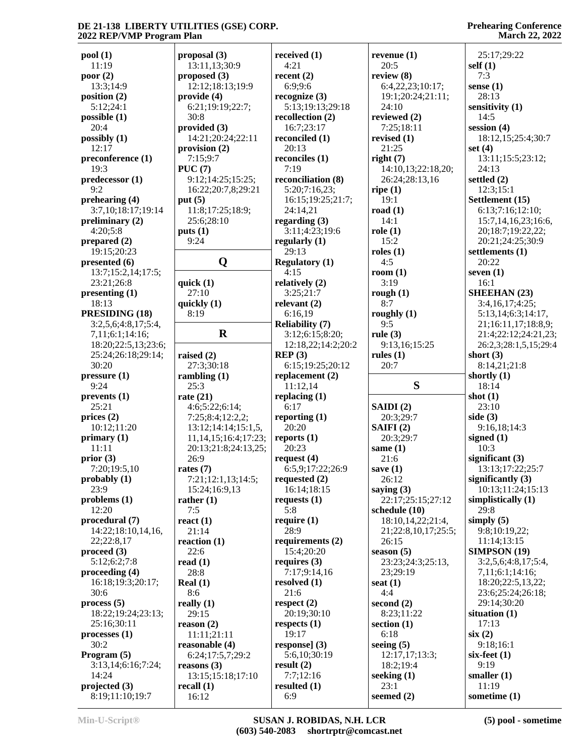**pool (1)** 11:19 **poor (2)** 13:3;14:9 **position (2)** 5:12;24:1 **possible (1)** 20:4 **possibly (1)** 12:17 **preconference (1)**  $19.3$ **predecessor (1)** 9:2 **prehearing (4)** 3:7,10;18:17;19:14 **preliminary (2)** 4:20;5:8 **prepared (2)** 19:15;20:23 **presented (6)** 13:7;15:2,14;17:5; 23:21;26:8 **presenting (1)** 18:13 **PRESIDING (18)** 3:2,5,6;4:8,17;5:4, 7,11;6:1;14:16; 18:20;22:5,13;23:6; 25:24;26:18;29:14; 30:20 **pressure (1)** 9:24 **prevents (1)** 25:21 **prices (2)** 10:12;11:20 **primary (1)** 11:11 **prior (3)** 7:20;19:5,10 **probably (1)** 23:9 **problems (1)** 12:20 **procedural (7)** 14:22;18:10,14,16, 22;22:8,17 **proceed (3)** 5:12;6:2;7:8 **proceeding (4)** 16:18;19:3;20:17; 30:6 **process (5)** 18:22;19:24;23:13; 25:16;30:11 **processes (1)** 30:2 **Program (5)** 3:13,14;6:16;7:24; 14:24 **projected (3)** 8:19;11:10;19:7 30:8 **PUC (7) put (5) puts (1)** 9:24 **quick (1)** 8:19 25:3 **rate (21)** 26:9 **rates (7)** 7:5 **react (1)** 22:6 **read (1)** 28:8 **Real (1)** 8:6 **really (1) recall (1)**

**proposal (3)** 13:11,13;30:9 **proposed (3)** 12:12;18:13;19:9 **provide (4)** 6:21;19:19;22:7; **provided (3)** 14:21;20:24;22:11 **provision (2)** 7:15;9:7 9:12;14:25;15:25; 16:22;20:7,8;29:21 11:8;17:25;18:9; 25:6;28:10 **Q Regulatory (1)** 27:10 **quickly (1) R** 3 **raised (2)** 27:3;30:18 **rambling (1)** 4:6;5:22;6:14; 7:25;8:4;12:2,2; 13:12;14:14;15:1,5, 11,14,15;16:4;17:23; 20:13;21:8;24:13,25; 7:21;12:1,13;14:5; 15:24;16:9,13 **rather (1)** 21:14 **reaction (1)** 29:15 **reason (2)** 11:11;21:11 **reasonable (4)** 6:24;17:5,7;29:2 **reasons (3)** 13:15;15:18;17:10  $16:12$ **received (1)** 4:21 **recent (2)** 6:9;9:6 **recognize (3)** 5:13;19:13;29:18 **recollection (2)** 16:7;23:17 **reconciled (1)** 20:13 **reconciles (1)** 7:19 **reconciliation (8)** 5:20;7:16,23; 16:15;19:25;21:7; 24:14,21 **regarding (3)** 3:11;4:23;19:6 **regularly (1)** 29:13 4:15 **relatively (2)** 3:25;21:7 **relevant (2)** 6:16,19 **Reliability (7)** 3:12;6:15;8:20; 12:18,22;14:2;20:2 **REP (3)** 6:15;19:25;20:12 **replacement (2)** 11:12,14 **replacing (1)** 6:17 **reporting (1)** 20:20 **reports (1)** 20:23 **request (4)** 6:5,9;17:22;26:9 **requested (2)** 16:14;18:15 **requests (1)** 5:8 **require (1)** 28:9 **requirements (2)** 15:4;20:20 **requires (3)** 7:17;9:14,16 **resolved (1)** 21:6 **respect (2)** 20:19;30:10 **respects (1)** 19:17 **response] (3)** 5:6,10;30:19 **result (2)** 7:7;12:16 **resulted (1)** 6:9

**revenue (1)** 20:5 **review (8)** 6:4,22,23;10:17; 19:1;20:24;21:11; 24:10 **reviewed (2)** 7:25;18:11 **revised (1)** 21:25 **right (7)** 14:10,13;22:18,20; 26:24;28:13,16 **ripe (1)** 19:1 **road (1)** 14:1 **role (1)** 15:2 **roles (1)** 4:5 **room (1)** 3:19 **rough (1)** 8:7 **roughly (1)** 9:5 **rule (3)** 9:13,16;15:25 **rules (1)** 20:7 **S SAIDI (2)** 20:3;29:7 **SAIFI (2)** 20:3;29:7 **same (1)** 21:6 **save (1)** 26:12 **saying (3)** 22:17;25:15;27:12 **schedule (10)** 18:10,14,22;21:4, 21;22:8,10,17;25:5; 26:15 **season (5)** 23:23;24:3;25:13, 23;29:19 **seat (1)** 4:4 **second (2)** 8:23;11:22 **section (1)** 6:18 **seeing (5)** 12:17,17;13:3; 18:2;19:4 **seeking (1)** 23:1 **seemed (2)**

**Prehearing Conference March 22, 2022**

 25:17;29:22 **self (1)** 7:3 **sense (1)** 28:13 **sensitivity (1)** 14:5 **session (4)** 18:12,15;25:4;30:7 **set (4)** 13:11;15:5;23:12; 24:13 **settled (2)** 12:3;15:1 **Settlement (15)** 6:13;7:16;12:10; 15:7,14,16,23;16:6, 20;18:7;19:22,22; 20:21;24:25;30:9 **settlements (1)** 20:22 **seven (1)** 16:1 **SHEEHAN (23)** 3:4,16,17;4:25; 5:13,14;6:3;14:17, 21;16:11,17;18:8,9; 21:4;22:12;24:21,23; 26:2,3;28:1,5,15;29:4 **short (3)** 8:14,21;21:8 **shortly (1)** 18:14 **shot (1)** 23:10 **side (3)** 9:16,18;14:3 **signed (1)** 10:3 **significant (3)** 13:13;17:22;25:7 **significantly (3)** 10:13;11:24;15:13 **simplistically (1)** 29:8 **simply (5)** 9:8;10:19,22; 11:14;13:15 **SIMPSON (19)** 3:2,5,6;4:8,17;5:4, 7,11;6:1;14:16; 18:20;22:5,13,22; 23:6;25:24;26:18; 29:14;30:20 **situation (1)** 17:13 **six (2)** 9:18;16:1 **six-feet (1)** 9:19 **smaller (1)** 11:19 **sometime (1)**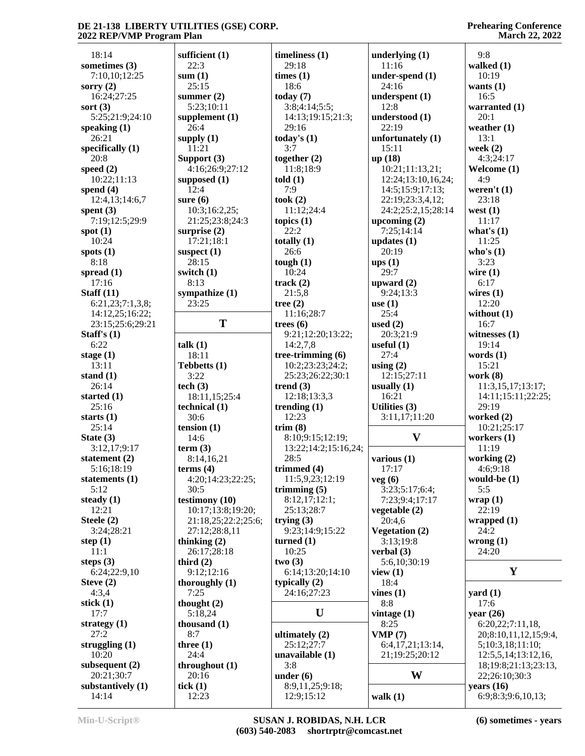| 18:14                          | sufficient (1)<br>22:3 | timeliness $(1)$<br>29:18 | underlying $(1)$<br>11:16 | 9:8                   |
|--------------------------------|------------------------|---------------------------|---------------------------|-----------------------|
| sometimes (3)<br>7:10,10;12:25 | sum(1)                 | times (1)                 | under-spend $(1)$         | walked $(1)$<br>10:19 |
| sorry $(2)$                    | 25:15                  | 18:6                      | 24:16                     | wants $(1)$           |
| 16:24;27:25                    | summer $(2)$           | today $(7)$               | underspent $(1)$          | 16:5                  |
| sort $(3)$                     | 5:23;10:11             | 3:8;4:14;5:5;             | 12:8                      | warranted (1)         |
| 5:25;21:9;24:10                | supplement $(1)$       | 14:13;19:15;21:3;         | understood (1)            | 20:1                  |
| speaking $(1)$                 | 26:4                   | 29:16                     | 22:19                     | weather $(1)$         |
| 26:21                          | supply $(1)$           | today's $(1)$             | unfortunately $(1)$       | 13:1                  |
| specifically $(1)$             | 11:21                  | 3:7                       | 15:11                     | week $(2)$            |
| 20:8                           | Support (3)            | together $(2)$            | up(18)                    | 4:3;24:17             |
| speed $(2)$                    | 4:16;26:9;27:12        | 11:8;18:9                 | 10:21;11:13,21;           | Welcome (1)           |
| 10:22;11:13                    | supposed $(1)$         | told $(1)$                | 12:24;13:10,16,24;        | 4:9                   |
| spend $(4)$                    | 12:4                   | 7:9                       | 14:5;15:9;17:13;          | weren't $(1)$         |
| 12:4,13;14:6,7                 | sure $(6)$             | took(2)                   | 22:19;23:3,4,12;          | 23:18                 |
| spent $(3)$                    | 10:3;16:2,25;          | 11:12;24:4                | 24:2;25:2,15;28:14        | west $(1)$            |
| 7:19;12:5;29:9                 | 21:25;23:8;24:3        | topics $(1)$              | upcoming $(2)$            | 11:17                 |
| spot $(1)$                     | surprise $(2)$         | 22:2                      | 7:25;14:14                | what's $(1)$          |
| 10:24                          | 17:21;18:1             | totally $(1)$             | updates $(1)$             | 11:25                 |
| spots $(1)$                    | suspect $(1)$          | 26:6                      | 20:19                     | who's $(1)$           |
| 8:18                           | 28:15                  | tough $(1)$               | ups(1)                    | 3:23                  |
| spread $(1)$                   | switch (1)             | 10:24                     | 29:7                      | wire $(1)$            |
| 17:16                          | 8:13                   | track $(2)$               | upward $(2)$              | 6:17                  |
| Staff $(11)$                   | sympathize $(1)$       | 21:5,8                    | 9:24:13:3                 | wires $(1)$           |
| 6:21,23;7:1,3,8;               | 23:25                  | tree $(2)$                | use $(1)$                 | 12:20                 |
| 14:12,25;16:22;                |                        | 11:16;28:7                | 25:4                      | without $(1)$         |
| 23:15;25:6;29:21               | T                      | trees $(6)$               | used $(2)$                | 16:7                  |
| Staff's $(1)$                  |                        | 9:21;12:20;13:22;         | 20:3;21:9                 | witnesses $(1)$       |
| 6:22                           | talk(1)                | 14:2,7,8                  | useful $(1)$              | 19:14                 |
| stage $(1)$                    | 18:11                  | tree-trimming $(6)$       | 27:4                      | words $(1)$           |
| 13:11                          | Tebbetts (1)           | 10:2;23:23;24:2;          | using $(2)$               | 15:21                 |
| stand $(1)$                    | 3:22                   | 25:23;26:22;30:1          | 12:15;27:11               | work $(8)$            |
| 26:14                          | tech $(3)$             | trend $(3)$               | usually $(1)$             | 11:3,15,17;13:17;     |
| started $(1)$                  | 18:11,15;25:4          | 12:18;13:3,3              | 16:21                     | 14:11;15:11;22:25;    |
| 25:16                          | technical (1)          | trending $(1)$            | Utilities (3)             | 29:19                 |
| starts $(1)$                   | 30:6                   | 12:23                     | 3:11,17;11:20             | worked $(2)$          |
| 25:14                          | tension $(1)$          | trim(8)                   |                           | 10:21;25:17           |
| State $(3)$                    | 14:6                   | 8:10;9:15;12:19;          | $\mathbf{V}$              | workers $(1)$         |
| 3:12,17;9:17                   | term $(3)$             | 13:22;14:2;15:16,24;      |                           | 11:19                 |
| statement $(2)$                | 8:14,16,21             | 28:5                      | various $(1)$             | working $(2)$         |
| 5:16;18:19                     | terms $(4)$            | trimmed $(4)$             | 17:17                     | 4:6;9:18              |
| statements $(1)$               | 4:20;14:23;22:25;      | 11:5,9,23;12:19           | veg(6)                    | would-be $(1)$        |
| 5:12                           | 30:5                   | trimming $(5)$            | 3:23;5:17;6:4;            | 5:5                   |
| steady $(1)$                   | testimony (10)         | 8:12,17;12:1;             | 7:23;9:4;17:17            | wrap(1)               |
| 12:21                          | 10:17;13:8;19:20;      | 25:13;28:7                | vegetable $(2)$           | 22:19                 |
| Steele (2)                     | 21:18,25;22:2;25:6;    | trying $(3)$              | 20:4,6                    | wrapped $(1)$         |
| 3:24;28:21                     | 27:12;28:8,11          | 9:23;14:9;15:22           | <b>Vegetation (2)</b>     | 24:2                  |
| step $(1)$                     | thinking $(2)$         | turned $(1)$              | 3:13:19:8                 | wrong $(1)$           |
| 11:1                           | 26:17;28:18            | 10:25                     | verbal $(3)$              | 24:20                 |
| steps $(3)$                    | third $(2)$            | two(3)                    | 5:6,10;30:19              |                       |
| 6:24;22:9,10                   | 9:12:12:16             | 6:14;13:20;14:10          | view $(1)$                | Y                     |
| Steve $(2)$                    | thoroughly (1)         | typically $(2)$           | 18:4                      |                       |
| 4:3,4                          | 7:25                   | 24:16;27:23               | vines $(1)$               | yard $(1)$            |
| stick $(1)$                    | thought $(2)$          |                           | 8:8                       | 17:6                  |
| 17:7                           | 5:18,24                | U                         | vintage $(1)$             | year $(26)$           |
| strategy $(1)$                 | thousand $(1)$         |                           | 8:25                      | 6:20,22;7:11,18,      |
| 27:2                           | 8:7                    | ultimately $(2)$          | VMP(7)                    | 20;8:10,11,12,15;9:4, |
| struggling $(1)$               | three $(1)$            | 25:12;27:7                | 6:4,17,21;13:14,          | 5;10:3,18;11:10;      |
| 10:20                          | 24:4                   | unavailable $(1)$         | 21;19:25;20:12            | 12:5,5,14;13:12,16,   |
| subsequent $(2)$               | throughout $(1)$       | 3:8                       |                           | 18;19:8;21:13;23:13,  |
| 20:21;30:7                     | 20:16                  | under $(6)$               | W                         | 22;26:10;30:3         |
| substantively $(1)$            | tick $(1)$             | 8:9,11,25;9:18;           |                           | years $(16)$          |
| 14:14                          | 12:23                  | 12:9;15:12                | walk $(1)$                | 6:9;8:3;9:6,10,13;    |